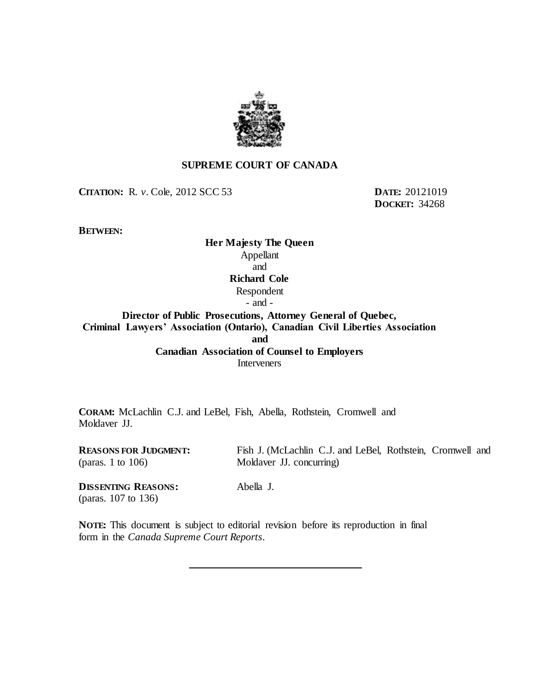

## **SUPREME COURT OF CANADA**

**CITATION:** R. *v.* Cole, 2012 SCC 53 **DATE:** 20121019

**DOCKET:** 34268

**BETWEEN:**

**Her Majesty The Queen** Appellant and **Richard Cole** Respondent - and -

# **Director of Public Prosecutions, Attorney General of Quebec, Criminal Lawyers' Association (Ontario), Canadian Civil Liberties Association and Canadian Association of Counsel to Employers**

Interveners

**CORAM:** McLachlin C.J. and LeBel, Fish, Abella, Rothstein, Cromwell and Moldaver JJ.

**REASONS FOR JUDGMENT:** (paras. 1 to 106) Fish J. (McLachlin C.J. and LeBel, Rothstein, Cromwell and Moldaver JJ. concurring)

**DISSENTING REASONS:** (paras. 107 to 136)

Abella J.

**NOTE:** This document is subject to editorial revision before its reproduction in final form in the *Canada Supreme Court Reports*.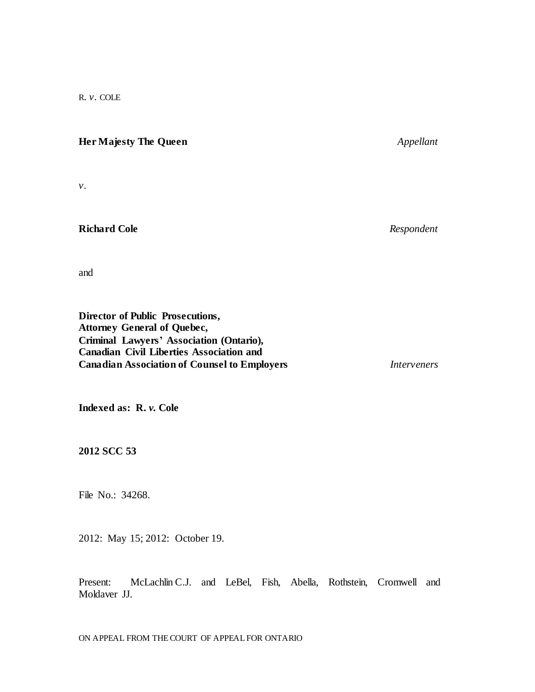R. *v.* COLE

**Her Majesty The Queen** *Appellant*

*v.*

**Richard Cole** *Respondent*

and

**Director of Public Prosecutions, Attorney General of Quebec, Criminal Lawyers' Association (Ontario), Canadian Civil Liberties Association and Canadian Association of Counsel to Employers** *Interveners*

**Indexed as: R.** *v.* **Cole**

**2012 SCC 53**

File No.: 34268.

2012: May 15; 2012: October 19.

Present: McLachlin C.J. and LeBel, Fish, Abella, Rothstein, Cromwell and Moldaver JJ.

ON APPEAL FROM THECOURT OF APPEAL FOR ONTARIO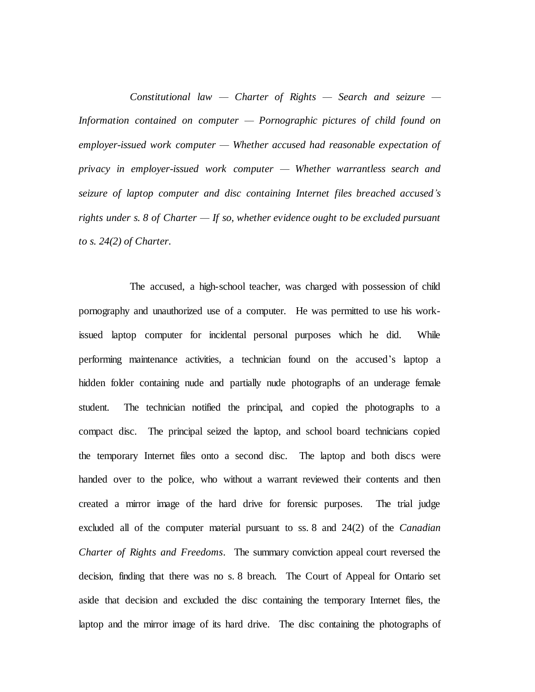*Constitutional law — Charter of Rights — Search and seizure — Information contained on computer — Pornographic pictures of child found on employer-issued work computer — Whether accused had reasonable expectation of privacy in employer-issued work computer — Whether warrantless search and seizure of laptop computer and disc containing Internet files breached accused's rights under s. 8 of Charter — If so, whether evidence ought to be excluded pursuant to s. 24(2) of Charter*.

The accused, a high-school teacher, was charged with possession of child pornography and unauthorized use of a computer. He was permitted to use his workissued laptop computer for incidental personal purposes which he did. While performing maintenance activities, a technician found on the accused's laptop a hidden folder containing nude and partially nude photographs of an underage female student. The technician notified the principal, and copied the photographs to a compact disc. The principal seized the laptop, and school board technicians copied the temporary Internet files onto a second disc. The laptop and both discs were handed over to the police, who without a warrant reviewed their contents and then created a mirror image of the hard drive for forensic purposes. The trial judge excluded all of the computer material pursuant to ss. 8 and 24(2) of the *Canadian Charter of Rights and Freedoms*. The summary conviction appeal court reversed the decision, finding that there was no s. 8 breach. The Court of Appeal for Ontario set aside that decision and excluded the disc containing the temporary Internet files, the laptop and the mirror image of its hard drive. The disc containing the photographs of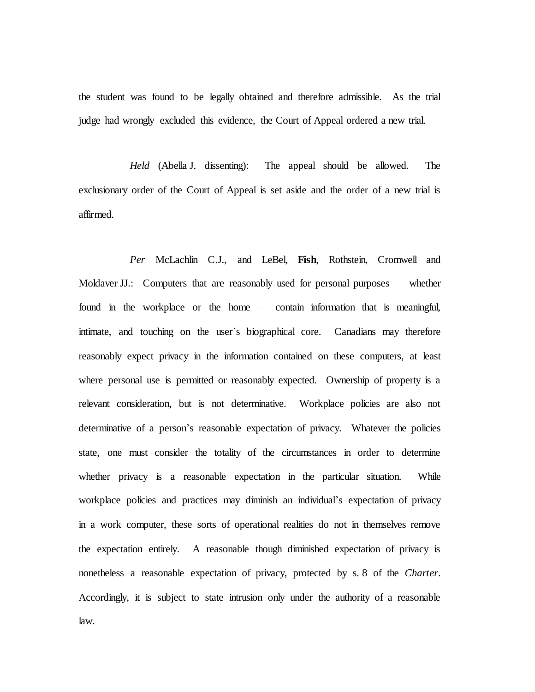the student was found to be legally obtained and therefore admissible. As the trial judge had wrongly excluded this evidence, the Court of Appeal ordered a new trial.

*Held* (Abella J. dissenting): The appeal should be allowed. The exclusionary order of the Court of Appeal is set aside and the order of a new trial is affirmed.

*Per* McLachlin C.J., and LeBel, **Fish**, Rothstein, Cromwell and Moldaver JJ.: Computers that are reasonably used for personal purposes — whether found in the workplace or the home — contain information that is meaningful, intimate, and touching on the user's biographical core. Canadians may therefore reasonably expect privacy in the information contained on these computers, at least where personal use is permitted or reasonably expected. Ownership of property is a relevant consideration, but is not determinative. Workplace policies are also not determinative of a person's reasonable expectation of privacy. Whatever the policies state, one must consider the totality of the circumstances in order to determine whether privacy is a reasonable expectation in the particular situation. While workplace policies and practices may diminish an individual's expectation of privacy in a work computer, these sorts of operational realities do not in themselves remove the expectation entirely. A reasonable though diminished expectation of privacy is nonetheless a reasonable expectation of privacy, protected by s. 8 of the *Charter*. Accordingly, it is subject to state intrusion only under the authority of a reasonable law.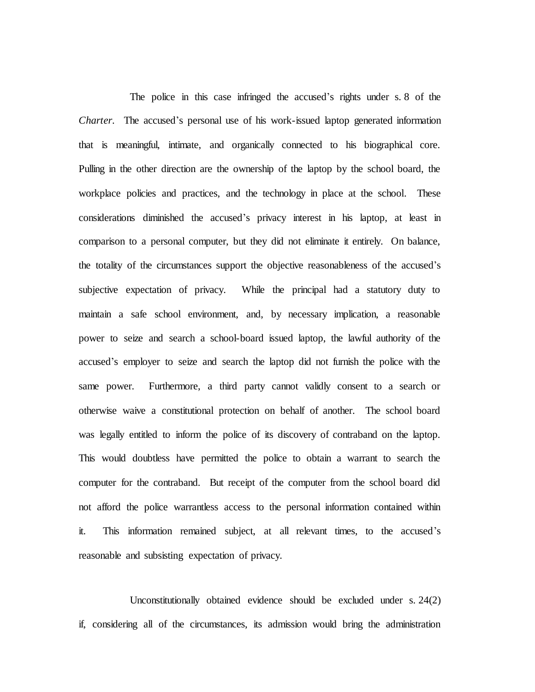The police in this case infringed the accused's rights under s. 8 of the *Charter*. The accused's personal use of his work-issued laptop generated information that is meaningful, intimate, and organically connected to his biographical core. Pulling in the other direction are the ownership of the laptop by the school board, the workplace policies and practices, and the technology in place at the school. These considerations diminished the accused's privacy interest in his laptop, at least in comparison to a personal computer, but they did not eliminate it entirely. On balance, the totality of the circumstances support the objective reasonableness of the accused's subjective expectation of privacy. While the principal had a statutory duty to maintain a safe school environment, and, by necessary implication, a reasonable power to seize and search a school-board issued laptop, the lawful authority of the accused's employer to seize and search the laptop did not furnish the police with the same power. Furthermore, a third party cannot validly consent to a search or otherwise waive a constitutional protection on behalf of another. The school board was legally entitled to inform the police of its discovery of contraband on the laptop. This would doubtless have permitted the police to obtain a warrant to search the computer for the contraband. But receipt of the computer from the school board did not afford the police warrantless access to the personal information contained within it. This information remained subject, at all relevant times, to the accused's reasonable and subsisting expectation of privacy.

Unconstitutionally obtained evidence should be excluded under s. 24(2) if, considering all of the circumstances, its admission would bring the administration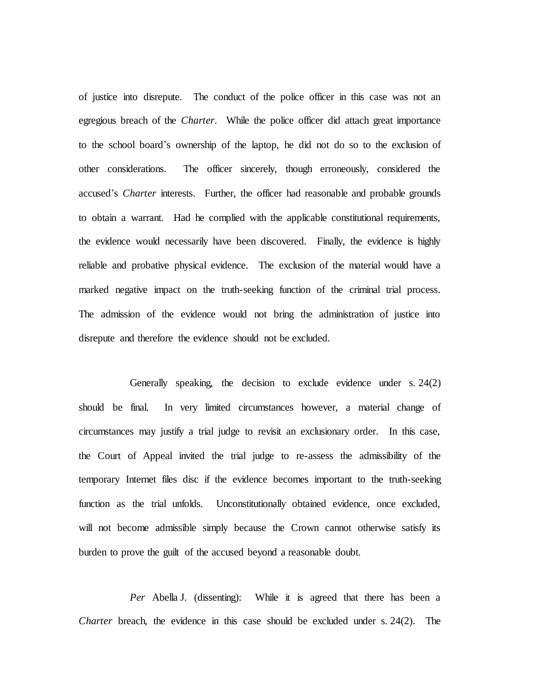of justice into disrepute. The conduct of the police officer in this case was not an egregious breach of the *Charter*. While the police officer did attach great importance to the school board's ownership of the laptop, he did not do so to the exclusion of other considerations. The officer sincerely, though erroneously, considered the accused's *Charter* interests. Further, the officer had reasonable and probable grounds to obtain a warrant. Had he complied with the applicable constitutional requirements, the evidence would necessarily have been discovered. Finally, the evidence is highly reliable and probative physical evidence. The exclusion of the material would have a marked negative impact on the truth-seeking function of the criminal trial process. The admission of the evidence would not bring the administration of justice into disrepute and therefore the evidence should not be excluded.

Generally speaking, the decision to exclude evidence under s. 24(2) should be final. In very limited circumstances however, a material change of circumstances may justify a trial judge to revisit an exclusionary order. In this case, the Court of Appeal invited the trial judge to re-assess the admissibility of the temporary Internet files disc if the evidence becomes important to the truth-seeking function as the trial unfolds. Unconstitutionally obtained evidence, once excluded, will not become admissible simply because the Crown cannot otherwise satisfy its burden to prove the guilt of the accused beyond a reasonable doubt.

*Per* Abella J. (dissenting): While it is agreed that there has been a *Charter* breach, the evidence in this case should be excluded under s. 24(2). The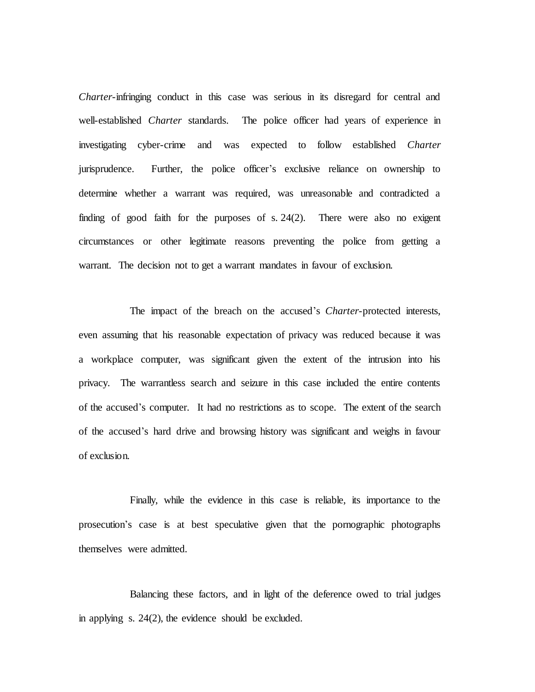*Charter*-infringing conduct in this case was serious in its disregard for central and well-established *Charter* standards. The police officer had years of experience in investigating cyber-crime and was expected to follow established *Charter*  jurisprudence. Further, the police officer's exclusive reliance on ownership to determine whether a warrant was required, was unreasonable and contradicted a finding of good faith for the purposes of s. 24(2). There were also no exigent circumstances or other legitimate reasons preventing the police from getting a warrant. The decision not to get a warrant mandates in favour of exclusion.

The impact of the breach on the accused's *Charter*-protected interests, even assuming that his reasonable expectation of privacy was reduced because it was a workplace computer, was significant given the extent of the intrusion into his privacy. The warrantless search and seizure in this case included the entire contents of the accused's computer. It had no restrictions as to scope. The extent of the search of the accused's hard drive and browsing history was significant and weighs in favour of exclusion.

Finally, while the evidence in this case is reliable, its importance to the prosecution's case is at best speculative given that the pornographic photographs themselves were admitted.

Balancing these factors, and in light of the deference owed to trial judges in applying s. 24(2), the evidence should be excluded.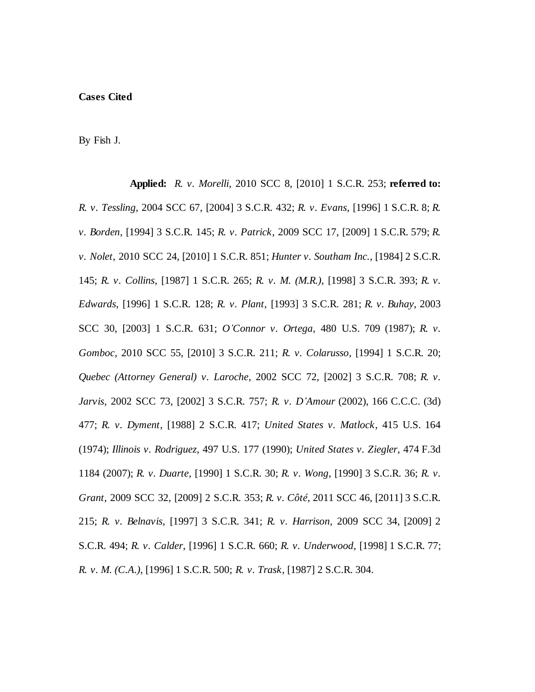## **Cases Cited**

By Fish J.

**Applied:** *R. v. Morelli*, 2010 SCC 8, [2010] 1 S.C.R. 253; **referred to:** *R. v. Tessling*, 2004 SCC 67, [2004] 3 S.C.R. 432; *R. v. Evans*, [1996] 1 S.C.R. 8; *R. v. Borden*, [1994] 3 S.C.R. 145; *R. v. Patrick*, 2009 SCC 17, [2009] 1 S.C.R. 579; *R. v. Nolet*, 2010 SCC 24, [2010] 1 S.C.R. 851; *Hunter v. Southam Inc.*, [1984] 2 S.C.R. 145; *R. v. Collins*, [1987] 1 S.C.R. 265; *R. v. M. (M.R.)*, [1998] 3 S.C.R. 393; *R. v. Edwards*, [1996] 1 S.C.R. 128; *R. v. Plant*, [1993] 3 S.C.R. 281; *R. v. Buhay*, 2003 SCC 30, [2003] 1 S.C.R. 631; *O'Connor v. Ortega*, 480 U.S. 709 (1987); *R. v. Gomboc*, 2010 SCC 55, [2010] 3 S.C.R. 211; *R. v. Colarusso*, [1994] 1 S.C.R. 20; *Quebec (Attorney General) v. Laroche*, 2002 SCC 72, [2002] 3 S.C.R. 708; *R. v. Jarvis*, 2002 SCC 73, [2002] 3 S.C.R. 757; *R. v. D'Amour* (2002), 166 C.C.C. (3d) 477; *R. v. Dyment*, [1988] 2 S.C.R. 417; *United States v. Matlock*, 415 U.S. 164 (1974); *Illinois v. Rodriguez*, 497 U.S. 177 (1990); *United States v. Ziegler*, 474 F.3d 1184 (2007); *R. v. Duarte*, [1990] 1 S.C.R. 30; *R. v. Wong*, [1990] 3 S.C.R. 36; *R. v. Grant*, 2009 SCC 32, [2009] 2 S.C.R. 353; *R. v. Côté*, 2011 SCC 46, [2011] 3 S.C.R. 215; *R. v. Belnavis*, [1997] 3 S.C.R. 341; *R. v. Harrison*, 2009 SCC 34, [2009] 2 S.C.R. 494; *R. v. Calder*, [1996] 1 S.C.R. 660; *R. v. Underwood*, [1998] 1 S.C.R. 77; *R. v. M. (C.A.)*, [1996] 1 S.C.R. 500; *R. v. Trask*, [1987] 2 S.C.R. 304.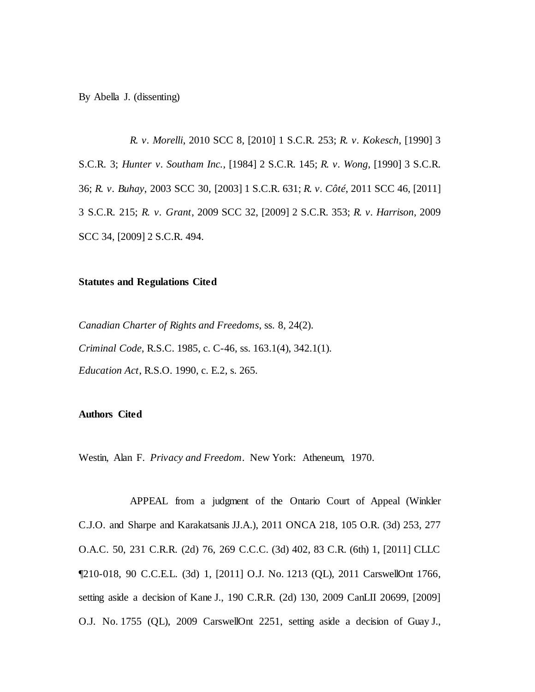By Abella J. (dissenting)

*R. v. Morelli*, 2010 SCC 8, [2010] 1 S.C.R. 253; *R. v. Kokesch*, [1990] 3 S.C.R. 3; *Hunter v. Southam Inc.*, [1984] 2 S.C.R. 145; *R. v. Wong*, [1990] 3 S.C.R. 36; *R. v. Buhay*, 2003 SCC 30, [2003] 1 S.C.R. 631; *R. v. Côté*, 2011 SCC 46, [2011] 3 S.C.R. 215; *R. v. Grant*, 2009 SCC 32, [2009] 2 S.C.R. 353; *R. v. Harrison*, 2009 SCC 34, [2009] 2 S.C.R. 494.

### **Statutes and Regulations Cited**

*Canadian Charter of Rights and Freedoms*, ss. 8, 24(2). *Criminal Code*, R.S.C. 1985, c. C-46, ss. 163.1(4), 342.1(1). *Education Act*, R.S.O. 1990, c. E.2, s. 265.

### **Authors Cited**

Westin, Alan F. *Privacy and Freedom*. New York: Atheneum, 1970.

APPEAL from a judgment of the Ontario Court of Appeal (Winkler C.J.O. and Sharpe and Karakatsanis JJ.A.), 2011 ONCA 218, 105 O.R. (3d) 253, 277 O.A.C. 50, 231 C.R.R. (2d) 76, 269 C.C.C. (3d) 402, 83 C.R. (6th) 1, [2011] CLLC ¶210-018, 90 C.C.E.L. (3d) 1, [2011] O.J. No. 1213 (QL), 2011 CarswellOnt 1766, setting aside a decision of Kane J., 190 C.R.R. (2d) 130, 2009 CanLII 20699, [2009] O.J. No. 1755 (QL), 2009 CarswellOnt 2251, setting aside a decision of Guay J.,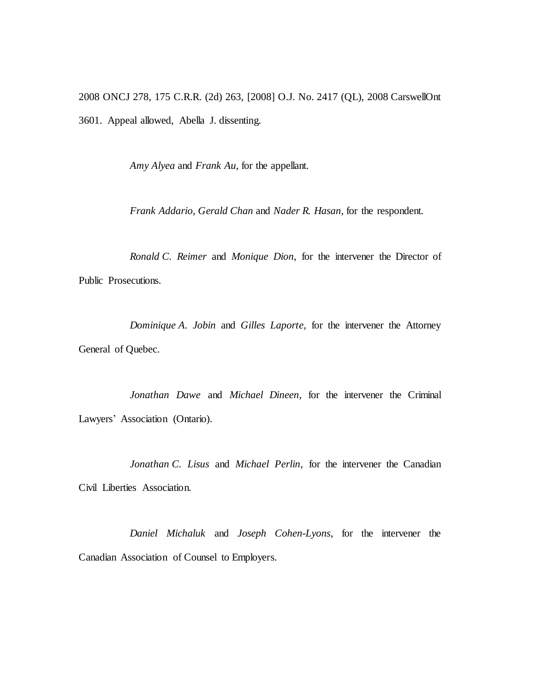2008 ONCJ 278, 175 C.R.R. (2d) 263, [2008] O.J. No. 2417 (QL), 2008 CarswellOnt 3601. Appeal allowed, Abella J. dissenting.

*Amy Alyea* and *Frank Au*, for the appellant.

*Frank Addario*, *Gerald Chan* and *Nader R. Hasan*, for the respondent.

*Ronald C. Reimer* and *Monique Dion*, for the intervener the Director of Public Prosecutions.

*Dominique A. Jobin* and *Gilles Laporte*, for the intervener the Attorney General of Quebec.

*Jonathan Dawe* and *Michael Dineen*, for the intervener the Criminal Lawyers' Association (Ontario).

*Jonathan C. Lisus* and *Michael Perlin*, for the intervener the Canadian Civil Liberties Association.

*Daniel Michaluk* and *Joseph Cohen-Lyons*, for the intervener the Canadian Association of Counsel to Employers.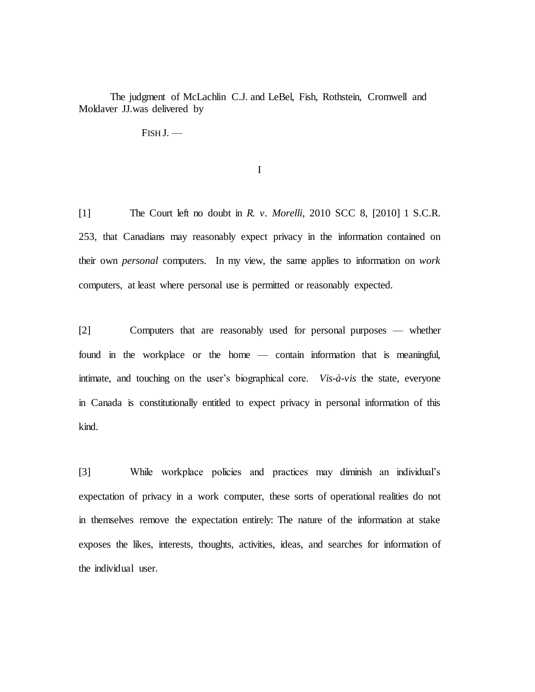The judgment of McLachlin C.J. and LeBel, Fish, Rothstein, Cromwell and Moldaver JJ.was delivered by

 $FISH J.$  —

I

[1] The Court left no doubt in *R. v. Morelli*, 2010 SCC 8, [2010] 1 S.C.R. 253, that Canadians may reasonably expect privacy in the information contained on their own *personal* computers. In my view, the same applies to information on *work*  computers, at least where personal use is permitted or reasonably expected.

[2] Computers that are reasonably used for personal purposes — whether found in the workplace or the home — contain information that is meaningful, intimate, and touching on the user's biographical core. *Vis-à-vis* the state, everyone in Canada is constitutionally entitled to expect privacy in personal information of this kind.

[3] While workplace policies and practices may diminish an individual's expectation of privacy in a work computer, these sorts of operational realities do not in themselves remove the expectation entirely: The nature of the information at stake exposes the likes, interests, thoughts, activities, ideas, and searches for information of the individual user.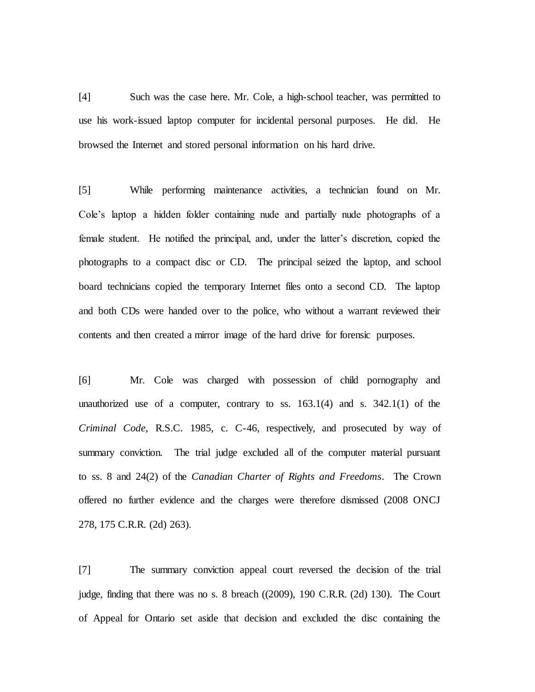[4] Such was the case here. Mr. Cole, a high-school teacher, was permitted to use his work-issued laptop computer for incidental personal purposes. He did. He browsed the Internet and stored personal information on his hard drive.

[5] While performing maintenance activities, a technician found on Mr. Cole's laptop a hidden folder containing nude and partially nude photographs of a female student. He notified the principal, and, under the latter's discretion, copied the photographs to a compact disc or CD. The principal seized the laptop, and school board technicians copied the temporary Internet files onto a second CD. The laptop and both CDs were handed over to the police, who without a warrant reviewed their contents and then created a mirror image of the hard drive for forensic purposes.

[6] Mr. Cole was charged with possession of child pornography and unauthorized use of a computer, contrary to ss.  $163.1(4)$  and s.  $342.1(1)$  of the *Criminal Code*, R.S.C. 1985, c. C-46, respectively, and prosecuted by way of summary conviction. The trial judge excluded all of the computer material pursuant to ss. 8 and 24(2) of the *Canadian Charter of Rights and Freedoms*. The Crown offered no further evidence and the charges were therefore dismissed (2008 ONCJ 278, 175 C.R.R. (2d) 263).

[7] The summary conviction appeal court reversed the decision of the trial judge, finding that there was no s. 8 breach ((2009), 190 C.R.R. (2d) 130). The Court of Appeal for Ontario set aside that decision and excluded the disc containing the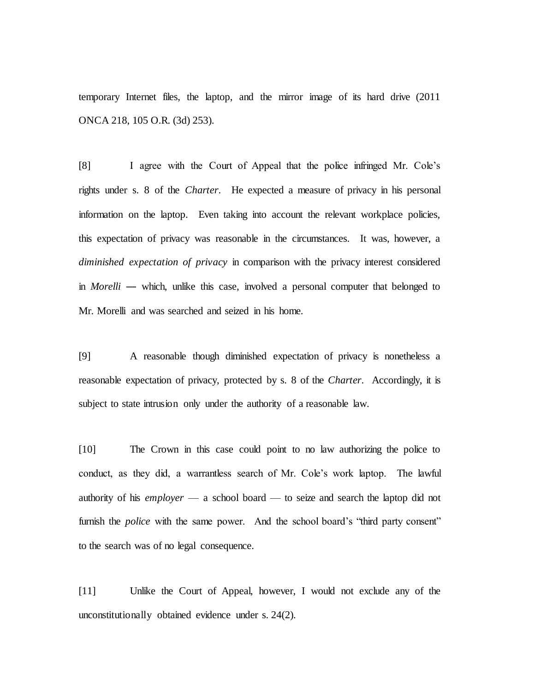temporary Internet files, the laptop, and the mirror image of its hard drive (2011 ONCA 218, 105 O.R. (3d) 253).

[8] I agree with the Court of Appeal that the police infringed Mr. Cole's rights under s. 8 of the *Charter*. He expected a measure of privacy in his personal information on the laptop. Even taking into account the relevant workplace policies, this expectation of privacy was reasonable in the circumstances. It was, however, a *diminished expectation of privacy* in comparison with the privacy interest considered in *Morelli* ― which, unlike this case, involved a personal computer that belonged to Mr. Morelli and was searched and seized in his home.

[9] A reasonable though diminished expectation of privacy is nonetheless a reasonable expectation of privacy, protected by s. 8 of the *Charter*. Accordingly, it is subject to state intrusion only under the authority of a reasonable law.

[10] The Crown in this case could point to no law authorizing the police to conduct, as they did, a warrantless search of Mr. Cole's work laptop. The lawful authority of his *employer* — a school board — to seize and search the laptop did not furnish the *police* with the same power. And the school board's "third party consent" to the search was of no legal consequence.

[11] Unlike the Court of Appeal, however, I would not exclude any of the unconstitutionally obtained evidence under s. 24(2).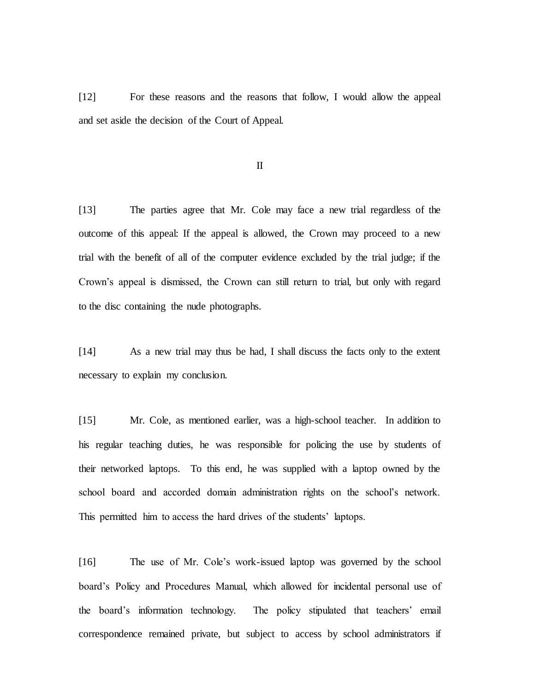[12] For these reasons and the reasons that follow, I would allow the appeal and set aside the decision of the Court of Appeal.

II

[13] The parties agree that Mr. Cole may face a new trial regardless of the outcome of this appeal: If the appeal is allowed, the Crown may proceed to a new trial with the benefit of all of the computer evidence excluded by the trial judge; if the Crown's appeal is dismissed, the Crown can still return to trial, but only with regard to the disc containing the nude photographs.

[14] As a new trial may thus be had, I shall discuss the facts only to the extent necessary to explain my conclusion.

[15] Mr. Cole, as mentioned earlier, was a high-school teacher. In addition to his regular teaching duties, he was responsible for policing the use by students of their networked laptops. To this end, he was supplied with a laptop owned by the school board and accorded domain administration rights on the school's network. This permitted him to access the hard drives of the students' laptops.

[16] The use of Mr. Cole's work-issued laptop was governed by the school board's Policy and Procedures Manual, which allowed for incidental personal use of the board's information technology. The policy stipulated that teachers' email correspondence remained private, but subject to access by school administrators if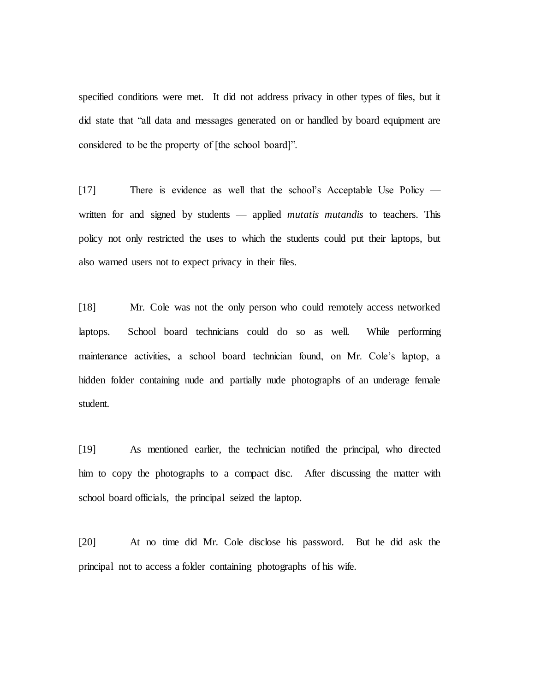specified conditions were met. It did not address privacy in other types of files, but it did state that "all data and messages generated on or handled by board equipment are considered to be the property of [the school board]".

[17] There is evidence as well that the school's Acceptable Use Policy written for and signed by students — applied *mutatis mutandis* to teachers. This policy not only restricted the uses to which the students could put their laptops, but also warned users not to expect privacy in their files.

[18] Mr. Cole was not the only person who could remotely access networked laptops. School board technicians could do so as well. While performing maintenance activities, a school board technician found, on Mr. Cole's laptop, a hidden folder containing nude and partially nude photographs of an underage female student.

[19] As mentioned earlier, the technician notified the principal, who directed him to copy the photographs to a compact disc. After discussing the matter with school board officials, the principal seized the laptop.

[20] At no time did Mr. Cole disclose his password. But he did ask the principal not to access a folder containing photographs of his wife.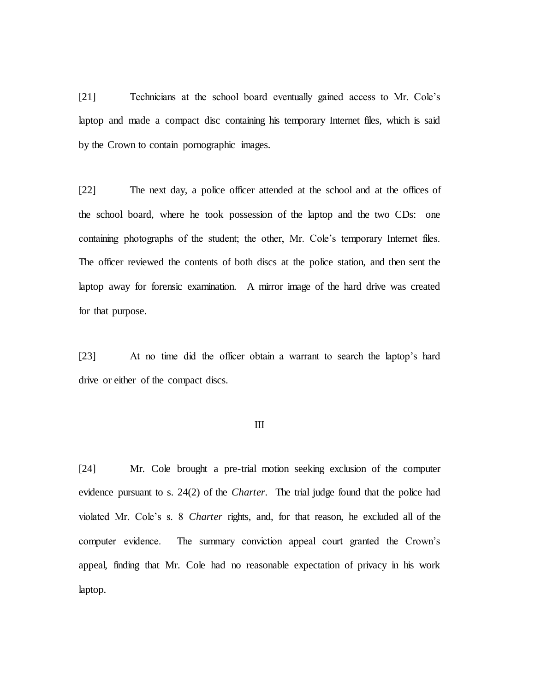[21] Technicians at the school board eventually gained access to Mr. Cole's laptop and made a compact disc containing his temporary Internet files, which is said by the Crown to contain pornographic images.

[22] The next day, a police officer attended at the school and at the offices of the school board, where he took possession of the laptop and the two CDs: one containing photographs of the student; the other, Mr. Cole's temporary Internet files. The officer reviewed the contents of both discs at the police station, and then sent the laptop away for forensic examination. A mirror image of the hard drive was created for that purpose.

[23] At no time did the officer obtain a warrant to search the laptop's hard drive or either of the compact discs.

#### III

[24] Mr. Cole brought a pre-trial motion seeking exclusion of the computer evidence pursuant to s. 24(2) of the *Charter*. The trial judge found that the police had violated Mr. Cole's s. 8 *Charter* rights, and, for that reason, he excluded all of the computer evidence. The summary conviction appeal court granted the Crown's appeal, finding that Mr. Cole had no reasonable expectation of privacy in his work laptop.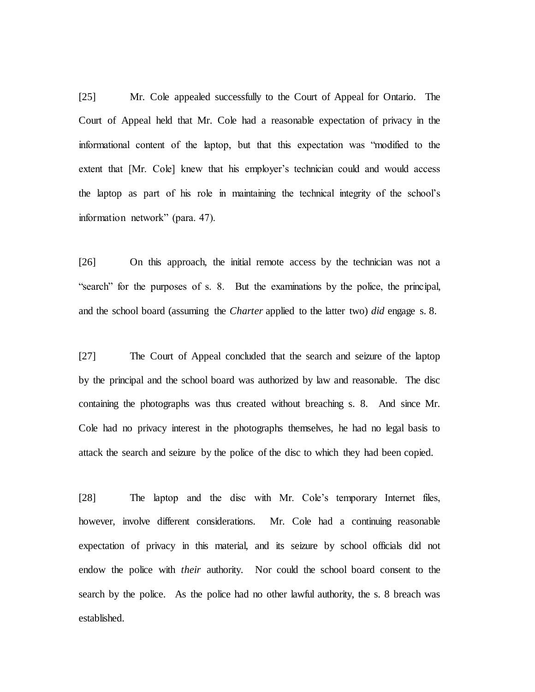[25] Mr. Cole appealed successfully to the Court of Appeal for Ontario. The Court of Appeal held that Mr. Cole had a reasonable expectation of privacy in the informational content of the laptop, but that this expectation was "modified to the extent that [Mr. Cole] knew that his employer's technician could and would access the laptop as part of his role in maintaining the technical integrity of the school's information network" (para. 47).

[26] On this approach, the initial remote access by the technician was not a "search" for the purposes of s. 8. But the examinations by the police, the principal, and the school board (assuming the *Charter* applied to the latter two) *did* engage s. 8.

[27] The Court of Appeal concluded that the search and seizure of the laptop by the principal and the school board was authorized by law and reasonable. The disc containing the photographs was thus created without breaching s. 8. And since Mr. Cole had no privacy interest in the photographs themselves, he had no legal basis to attack the search and seizure by the police of the disc to which they had been copied.

[28] The laptop and the disc with Mr. Cole's temporary Internet files, however, involve different considerations. Mr. Cole had a continuing reasonable expectation of privacy in this material, and its seizure by school officials did not endow the police with *their* authority. Nor could the school board consent to the search by the police. As the police had no other lawful authority, the s. 8 breach was established.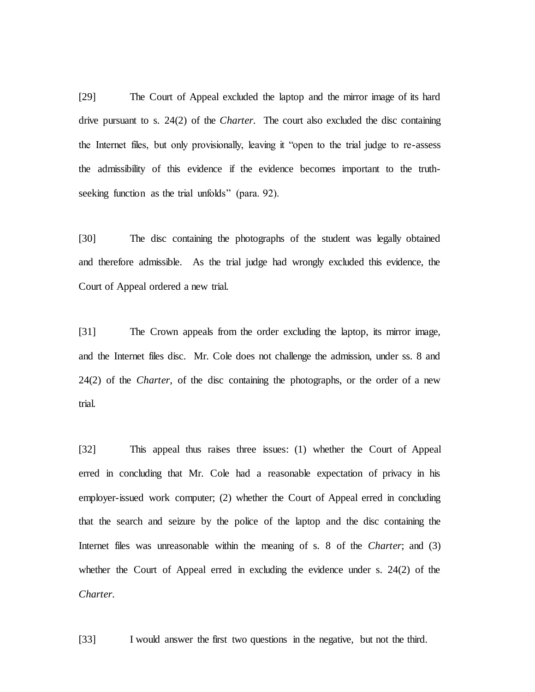[29] The Court of Appeal excluded the laptop and the mirror image of its hard drive pursuant to s. 24(2) of the *Charter*. The court also excluded the disc containing the Internet files, but only provisionally, leaving it "open to the trial judge to re-assess the admissibility of this evidence if the evidence becomes important to the truthseeking function as the trial unfolds" (para. 92).

[30] The disc containing the photographs of the student was legally obtained and therefore admissible. As the trial judge had wrongly excluded this evidence, the Court of Appeal ordered a new trial.

[31] The Crown appeals from the order excluding the laptop, its mirror image, and the Internet files disc. Mr. Cole does not challenge the admission, under ss. 8 and 24(2) of the *Charter*, of the disc containing the photographs, or the order of a new trial.

[32] This appeal thus raises three issues: (1) whether the Court of Appeal erred in concluding that Mr. Cole had a reasonable expectation of privacy in his employer-issued work computer; (2) whether the Court of Appeal erred in concluding that the search and seizure by the police of the laptop and the disc containing the Internet files was unreasonable within the meaning of s. 8 of the *Charter*; and (3) whether the Court of Appeal erred in excluding the evidence under s. 24(2) of the *Charter*.

[33] I would answer the first two questions in the negative, but not the third.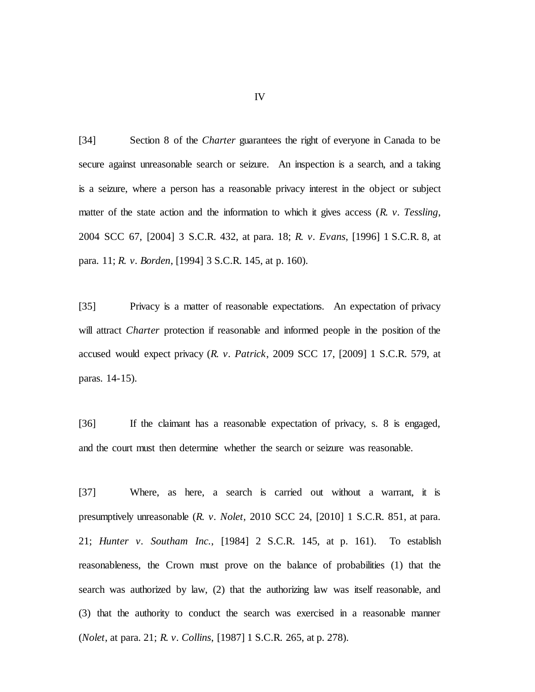[34] Section 8 of the *Charter* guarantees the right of everyone in Canada to be secure against unreasonable search or seizure. An inspection is a search, and a taking is a seizure, where a person has a reasonable privacy interest in the object or subject matter of the state action and the information to which it gives access (*R. v. Tessling*, 2004 SCC 67, [2004] 3 S.C.R. 432, at para. 18; *R. v. Evans*, [1996] 1 S.C.R. 8, at para. 11; *R. v. Borden*, [1994] 3 S.C.R. 145, at p. 160).

[35] Privacy is a matter of reasonable expectations. An expectation of privacy will attract *Charter* protection if reasonable and informed people in the position of the accused would expect privacy (*R. v. Patrick*, 2009 SCC 17, [2009] 1 S.C.R. 579, at paras. 14-15).

[36] If the claimant has a reasonable expectation of privacy, s. 8 is engaged, and the court must then determine whether the search or seizure was reasonable.

[37] Where, as here, a search is carried out without a warrant, it is presumptively unreasonable (*R. v. Nolet*, 2010 SCC 24, [2010] 1 S.C.R. 851, at para. 21; *Hunter v. Southam Inc.*, [1984] 2 S.C.R. 145, at p. 161). To establish reasonableness, the Crown must prove on the balance of probabilities (1) that the search was authorized by law, (2) that the authorizing law was itself reasonable, and (3) that the authority to conduct the search was exercised in a reasonable manner (*Nolet*, at para. 21; *R. v. Collins*, [1987] 1 S.C.R. 265, at p. 278).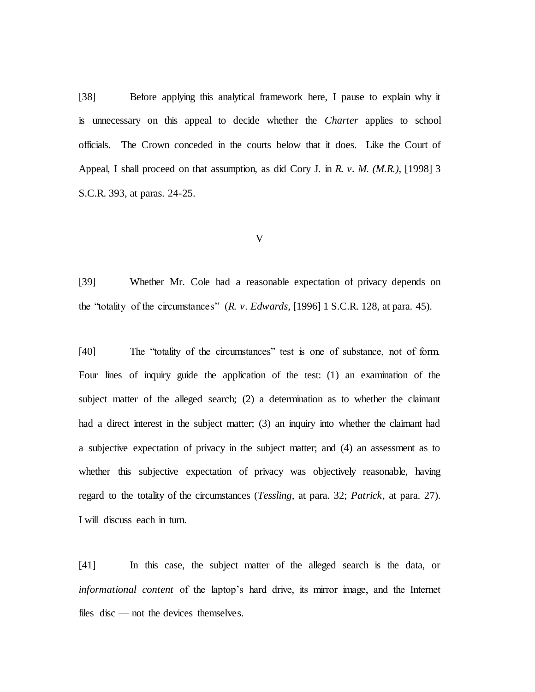[38] Before applying this analytical framework here, I pause to explain why it is unnecessary on this appeal to decide whether the *Charter* applies to school officials. The Crown conceded in the courts below that it does. Like the Court of Appeal, I shall proceed on that assumption, as did Cory J. in *R. v. M. (M.R.)*, [1998] 3 S.C.R. 393, at paras. 24-25.

#### V

[39] Whether Mr. Cole had a reasonable expectation of privacy depends on the "totality of the circumstances" (*R. v. Edwards*, [1996] 1 S.C.R. 128, at para. 45).

[40] The "totality of the circumstances" test is one of substance, not of form. Four lines of inquiry guide the application of the test: (1) an examination of the subject matter of the alleged search; (2) a determination as to whether the claimant had a direct interest in the subject matter; (3) an inquiry into whether the claimant had a subjective expectation of privacy in the subject matter; and (4) an assessment as to whether this subjective expectation of privacy was objectively reasonable, having regard to the totality of the circumstances (*Tessling*, at para. 32; *Patrick*, at para. 27). I will discuss each in turn.

[41] In this case, the subject matter of the alleged search is the data, or *informational content* of the laptop's hard drive, its mirror image, and the Internet files disc — not the devices themselves.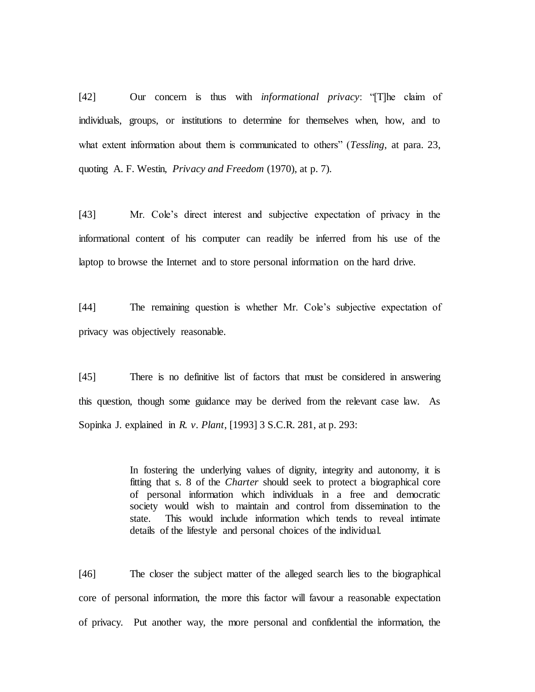[42] Our concern is thus with *informational privacy*: "[T]he claim of individuals, groups, or institutions to determine for themselves when, how, and to what extent information about them is communicated to others" (*Tessling*, at para. 23, quoting A. F. Westin, *Privacy and Freedom* (1970), at p. 7).

[43] Mr. Cole's direct interest and subjective expectation of privacy in the informational content of his computer can readily be inferred from his use of the laptop to browse the Internet and to store personal information on the hard drive.

[44] The remaining question is whether Mr. Cole's subjective expectation of privacy was objectively reasonable.

[45] There is no definitive list of factors that must be considered in answering this question, though some guidance may be derived from the relevant case law. As Sopinka J. explained in *R. v. Plant*, [1993] 3 S.C.R. 281, at p. 293:

> In fostering the underlying values of dignity, integrity and autonomy, it is fitting that s. 8 of the *Charter* should seek to protect a biographical core of personal information which individuals in a free and democratic society would wish to maintain and control from dissemination to the state. This would include information which tends to reveal intimate details of the lifestyle and personal choices of the individual.

[46] The closer the subject matter of the alleged search lies to the biographical core of personal information, the more this factor will favour a reasonable expectation of privacy. Put another way, the more personal and confidential the information, the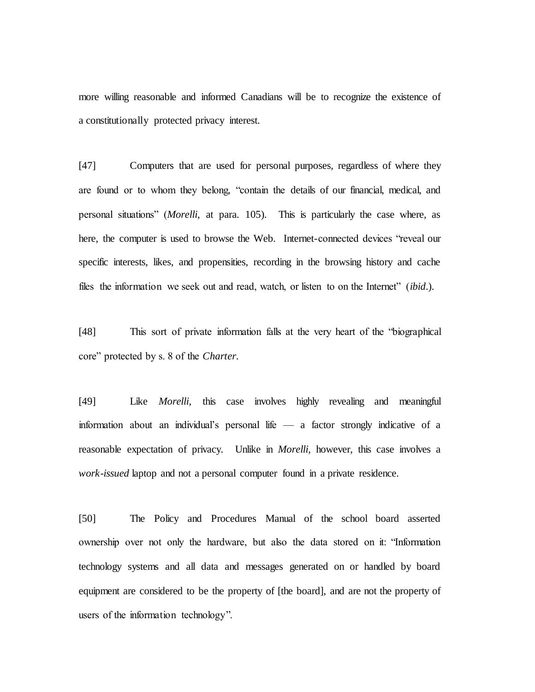more willing reasonable and informed Canadians will be to recognize the existence of a constitutionally protected privacy interest.

[47] Computers that are used for personal purposes, regardless of where they are found or to whom they belong, "contain the details of our financial, medical, and personal situations" (*Morelli*, at para. 105). This is particularly the case where, as here, the computer is used to browse the Web. Internet-connected devices "reveal our specific interests, likes, and propensities, recording in the browsing history and cache files the information we seek out and read, watch, or listen to on the Internet" (*ibid*.).

[48] This sort of private information falls at the very heart of the "biographical core" protected by s. 8 of the *Charter*.

[49] Like *Morelli*, this case involves highly revealing and meaningful information about an individual's personal life — a factor strongly indicative of a reasonable expectation of privacy. Unlike in *Morelli*, however, this case involves a *work-issued* laptop and not a personal computer found in a private residence.

[50] The Policy and Procedures Manual of the school board asserted ownership over not only the hardware, but also the data stored on it: "Information technology systems and all data and messages generated on or handled by board equipment are considered to be the property of [the board], and are not the property of users of the information technology".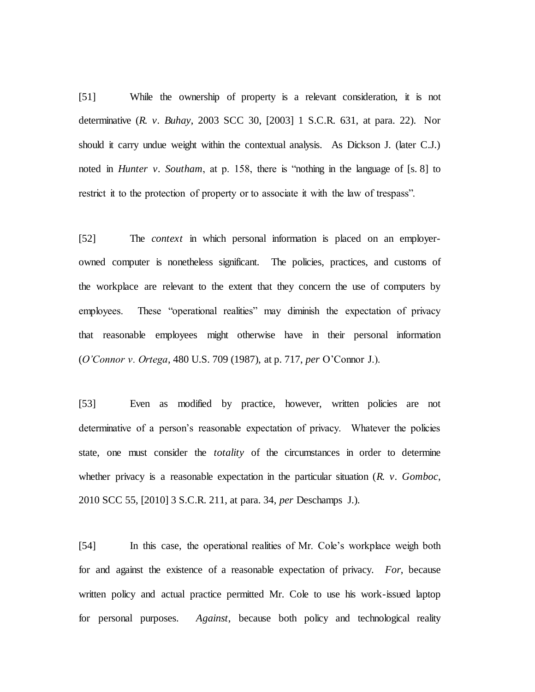[51] While the ownership of property is a relevant consideration, it is not determinative (*R. v. Buhay*, 2003 SCC 30, [2003] 1 S.C.R. 631, at para. 22). Nor should it carry undue weight within the contextual analysis. As Dickson J. (later C.J.) noted in *Hunter v. Southam*, at p. 158, there is "nothing in the language of [s. 8] to restrict it to the protection of property or to associate it with the law of trespass".

[52] The *context* in which personal information is placed on an employerowned computer is nonetheless significant. The policies, practices, and customs of the workplace are relevant to the extent that they concern the use of computers by employees. These "operational realities" may diminish the expectation of privacy that reasonable employees might otherwise have in their personal information (*O'Connor v. Ortega*, 480 U.S. 709 (1987), at p. 717, *per* O'Connor J.).

[53] Even as modified by practice, however, written policies are not determinative of a person's reasonable expectation of privacy. Whatever the policies state, one must consider the *totality* of the circumstances in order to determine whether privacy is a reasonable expectation in the particular situation (*R. v. Gomboc*, 2010 SCC 55, [2010] 3 S.C.R. 211, at para. 34, *per* Deschamps J.).

[54] In this case, the operational realities of Mr. Cole's workplace weigh both for and against the existence of a reasonable expectation of privacy. *For*, because written policy and actual practice permitted Mr. Cole to use his work-issued laptop for personal purposes. *Against*, because both policy and technological reality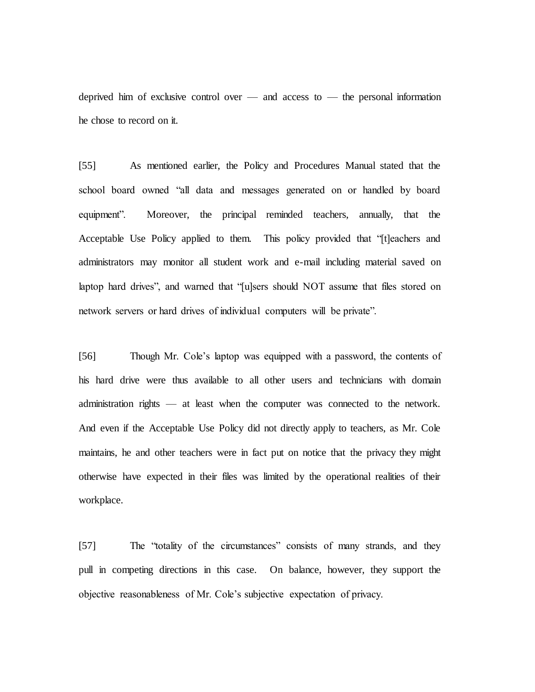deprived him of exclusive control over — and access to — the personal information he chose to record on it.

[55] As mentioned earlier, the Policy and Procedures Manual stated that the school board owned "all data and messages generated on or handled by board equipment". Moreover, the principal reminded teachers, annually, that the Acceptable Use Policy applied to them. This policy provided that "[t]eachers and administrators may monitor all student work and e-mail including material saved on laptop hard drives", and warned that "[u]sers should NOT assume that files stored on network servers or hard drives of individual computers will be private".

[56] Though Mr. Cole's laptop was equipped with a password, the contents of his hard drive were thus available to all other users and technicians with domain administration rights — at least when the computer was connected to the network. And even if the Acceptable Use Policy did not directly apply to teachers, as Mr. Cole maintains, he and other teachers were in fact put on notice that the privacy they might otherwise have expected in their files was limited by the operational realities of their workplace.

[57] The "totality of the circumstances" consists of many strands, and they pull in competing directions in this case. On balance, however, they support the objective reasonableness of Mr. Cole's subjective expectation of privacy.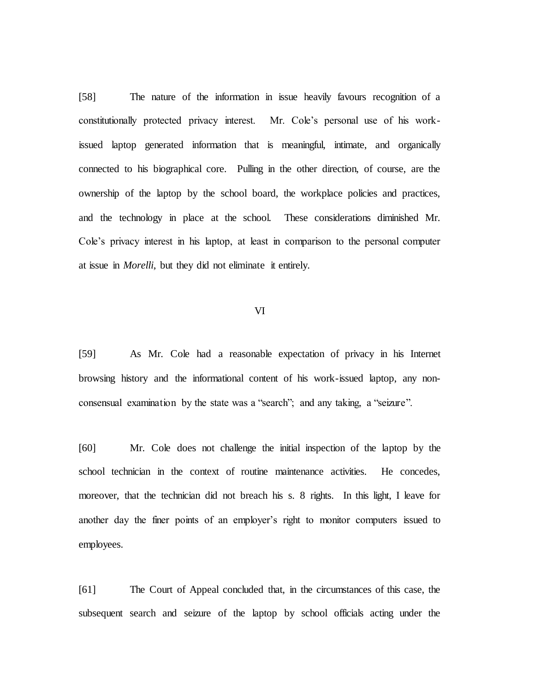[58] The nature of the information in issue heavily favours recognition of a constitutionally protected privacy interest. Mr. Cole's personal use of his workissued laptop generated information that is meaningful, intimate, and organically connected to his biographical core. Pulling in the other direction, of course, are the ownership of the laptop by the school board, the workplace policies and practices, and the technology in place at the school. These considerations diminished Mr. Cole's privacy interest in his laptop, at least in comparison to the personal computer at issue in *Morelli*, but they did not eliminate it entirely.

#### VI

[59] As Mr. Cole had a reasonable expectation of privacy in his Internet browsing history and the informational content of his work-issued laptop, any nonconsensual examination by the state was a "search"; and any taking, a "seizure".

[60] Mr. Cole does not challenge the initial inspection of the laptop by the school technician in the context of routine maintenance activities. He concedes, moreover, that the technician did not breach his s. 8 rights. In this light, I leave for another day the finer points of an employer's right to monitor computers issued to employees.

[61] The Court of Appeal concluded that, in the circumstances of this case, the subsequent search and seizure of the laptop by school officials acting under the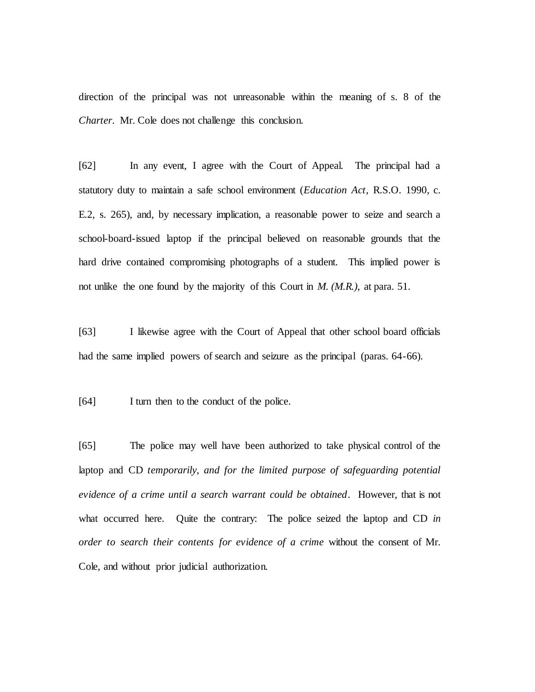direction of the principal was not unreasonable within the meaning of s. 8 of the *Charter*. Mr. Cole does not challenge this conclusion.

[62] In any event, I agree with the Court of Appeal. The principal had a statutory duty to maintain a safe school environment (*Education Act*, R.S.O. 1990, c. E.2, s. 265), and, by necessary implication, a reasonable power to seize and search a school-board-issued laptop if the principal believed on reasonable grounds that the hard drive contained compromising photographs of a student. This implied power is not unlike the one found by the majority of this Court in *M. (M.R.)*, at para. 51.

[63] I likewise agree with the Court of Appeal that other school board officials had the same implied powers of search and seizure as the principal (paras. 64-66).

[64] I turn then to the conduct of the police.

[65] The police may well have been authorized to take physical control of the laptop and CD *temporarily, and for the limited purpose of safeguarding potential evidence of a crime until a search warrant could be obtained*. However, that is not what occurred here. Quite the contrary: The police seized the laptop and CD *in order to search their contents for evidence of a crime* without the consent of Mr. Cole, and without prior judicial authorization.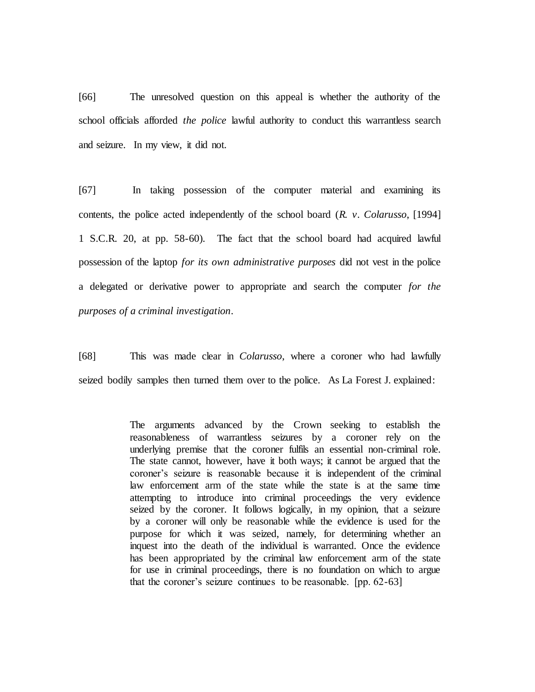[66] The unresolved question on this appeal is whether the authority of the school officials afforded *the police* lawful authority to conduct this warrantless search and seizure. In my view, it did not.

[67] In taking possession of the computer material and examining its contents, the police acted independently of the school board (*R. v. Colarusso*, [1994] 1 S.C.R. 20, at pp. 58-60). The fact that the school board had acquired lawful possession of the laptop *for its own administrative purposes* did not vest in the police a delegated or derivative power to appropriate and search the computer *for the purposes of a criminal investigation*.

[68] This was made clear in *Colarusso*, where a coroner who had lawfully seized bodily samples then turned them over to the police. As La Forest J. explained:

> The arguments advanced by the Crown seeking to establish the reasonableness of warrantless seizures by a coroner rely on the underlying premise that the coroner fulfils an essential non-criminal role. The state cannot, however, have it both ways; it cannot be argued that the coroner's seizure is reasonable because it is independent of the criminal law enforcement arm of the state while the state is at the same time attempting to introduce into criminal proceedings the very evidence seized by the coroner. It follows logically, in my opinion, that a seizure by a coroner will only be reasonable while the evidence is used for the purpose for which it was seized, namely, for determining whether an inquest into the death of the individual is warranted. Once the evidence has been appropriated by the criminal law enforcement arm of the state for use in criminal proceedings, there is no foundation on which to argue that the coroner's seizure continues to be reasonable. [pp. 62-63]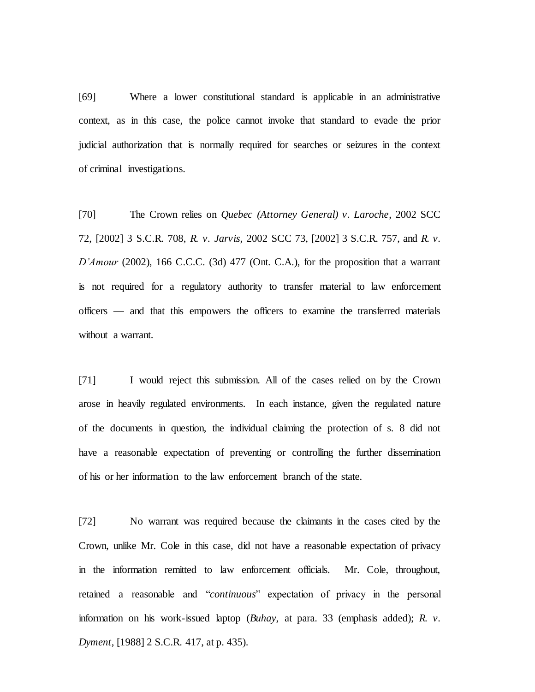[69] Where a lower constitutional standard is applicable in an administrative context, as in this case, the police cannot invoke that standard to evade the prior judicial authorization that is normally required for searches or seizures in the context of criminal investigations.

[70] The Crown relies on *Quebec (Attorney General) v. Laroche*, 2002 SCC 72, [2002] 3 S.C.R. 708, *R. v. Jarvis*, 2002 SCC 73, [2002] 3 S.C.R. 757, and *R. v. D'Amour* (2002), 166 C.C.C. (3d) 477 (Ont. C.A.), for the proposition that a warrant is not required for a regulatory authority to transfer material to law enforcement officers — and that this empowers the officers to examine the transferred materials without a warrant.

[71] I would reject this submission. All of the cases relied on by the Crown arose in heavily regulated environments. In each instance, given the regulated nature of the documents in question, the individual claiming the protection of s. 8 did not have a reasonable expectation of preventing or controlling the further dissemination of his or her information to the law enforcement branch of the state.

[72] No warrant was required because the claimants in the cases cited by the Crown, unlike Mr. Cole in this case, did not have a reasonable expectation of privacy in the information remitted to law enforcement officials. Mr. Cole, throughout, retained a reasonable and "*continuous*" expectation of privacy in the personal information on his work-issued laptop (*Buhay*, at para. 33 (emphasis added); *R. v. Dyment*, [1988] 2 S.C.R. 417, at p. 435).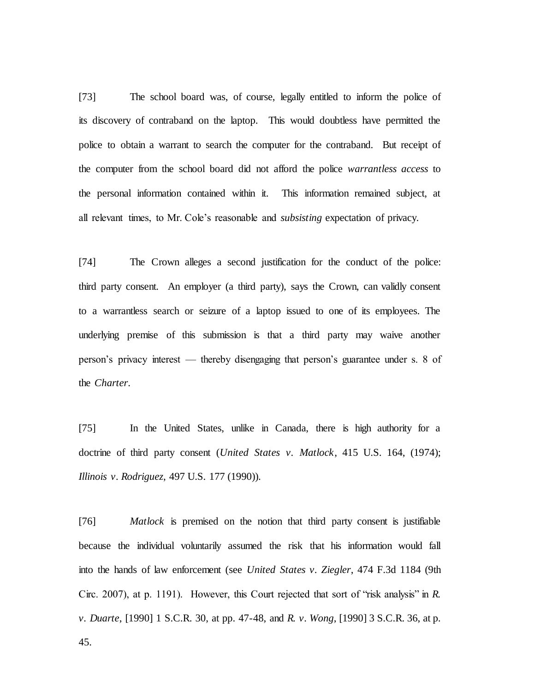[73] The school board was, of course, legally entitled to inform the police of its discovery of contraband on the laptop. This would doubtless have permitted the police to obtain a warrant to search the computer for the contraband. But receipt of the computer from the school board did not afford the police *warrantless access* to the personal information contained within it. This information remained subject, at all relevant times, to Mr. Cole's reasonable and *subsisting* expectation of privacy.

[74] The Crown alleges a second justification for the conduct of the police: third party consent. An employer (a third party), says the Crown, can validly consent to a warrantless search or seizure of a laptop issued to one of its employees. The underlying premise of this submission is that a third party may waive another person's privacy interest — thereby disengaging that person's guarantee under s. 8 of the *Charter*.

[75] In the United States, unlike in Canada, there is high authority for a doctrine of third party consent (*United States v. Matlock*, 415 U.S. 164, (1974); *Illinois v. Rodriguez*, 497 U.S. 177 (1990)).

[76] *Matlock* is premised on the notion that third party consent is justifiable because the individual voluntarily assumed the risk that his information would fall into the hands of law enforcement (see *United States v. Ziegler*, 474 F.3d 1184 (9th Circ. 2007), at p. 1191). However, this Court rejected that sort of "risk analysis" in *R. v. Duarte*, [1990] 1 S.C.R. 30, at pp. 47-48, and *R. v. Wong*, [1990] 3 S.C.R. 36, at p. 45.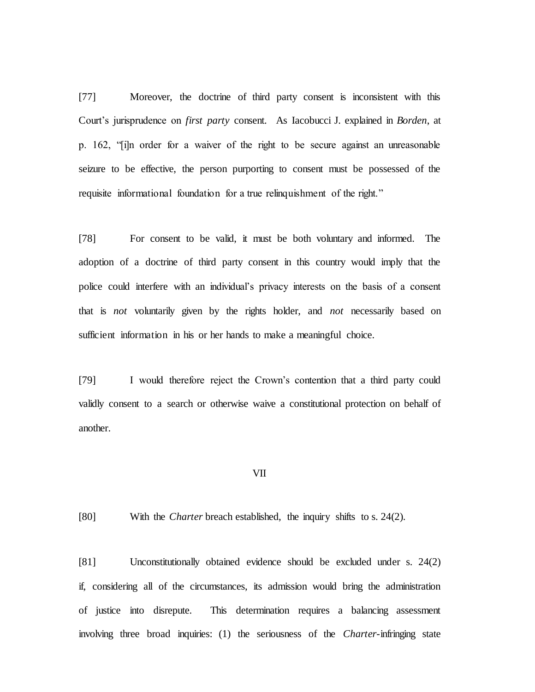[77] Moreover, the doctrine of third party consent is inconsistent with this Court's jurisprudence on *first party* consent. As Iacobucci J. explained in *Borden*, at p. 162, "[i]n order for a waiver of the right to be secure against an unreasonable seizure to be effective, the person purporting to consent must be possessed of the requisite informational foundation for a true relinquishment of the right."

[78] For consent to be valid, it must be both voluntary and informed. The adoption of a doctrine of third party consent in this country would imply that the police could interfere with an individual's privacy interests on the basis of a consent that is *not* voluntarily given by the rights holder, and *not* necessarily based on sufficient information in his or her hands to make a meaningful choice.

[79] I would therefore reject the Crown's contention that a third party could validly consent to a search or otherwise waive a constitutional protection on behalf of another.

#### VII

[80] With the *Charter* breach established, the inquiry shifts to s. 24(2).

[81] Unconstitutionally obtained evidence should be excluded under s. 24(2) if, considering all of the circumstances, its admission would bring the administration of justice into disrepute. This determination requires a balancing assessment involving three broad inquiries: (1) the seriousness of the *Charter*-infringing state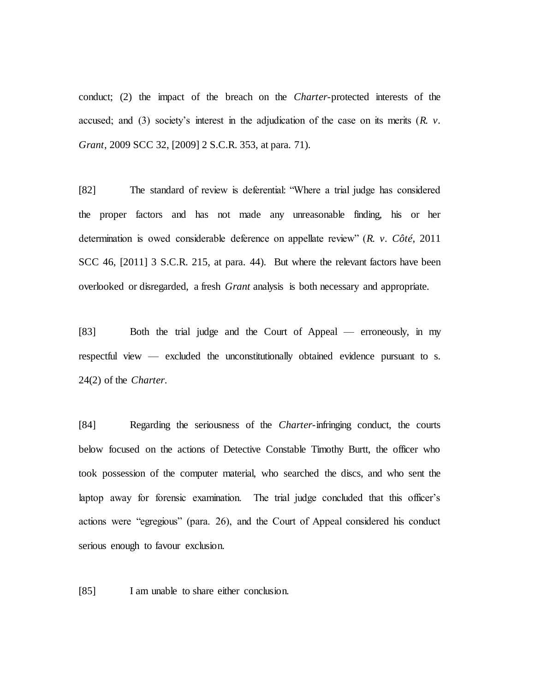conduct; (2) the impact of the breach on the *Charter*-protected interests of the accused; and (3) society's interest in the adjudication of the case on its merits (*R. v. Grant*, 2009 SCC 32, [2009] 2 S.C.R. 353, at para. 71).

[82] The standard of review is deferential: "Where a trial judge has considered the proper factors and has not made any unreasonable finding, his or her determination is owed considerable deference on appellate review" (*R. v. Côté*, 2011 SCC 46, [2011] 3 S.C.R. 215, at para. 44). But where the relevant factors have been overlooked or disregarded, a fresh *Grant* analysis is both necessary and appropriate.

[83] Both the trial judge and the Court of Appeal — erroneously, in my respectful view — excluded the unconstitutionally obtained evidence pursuant to s. 24(2) of the *Charter*.

[84] Regarding the seriousness of the *Charter*-infringing conduct, the courts below focused on the actions of Detective Constable Timothy Burtt, the officer who took possession of the computer material, who searched the discs, and who sent the laptop away for forensic examination. The trial judge concluded that this officer's actions were "egregious" (para. 26), and the Court of Appeal considered his conduct serious enough to favour exclusion.

[85] I am unable to share either conclusion.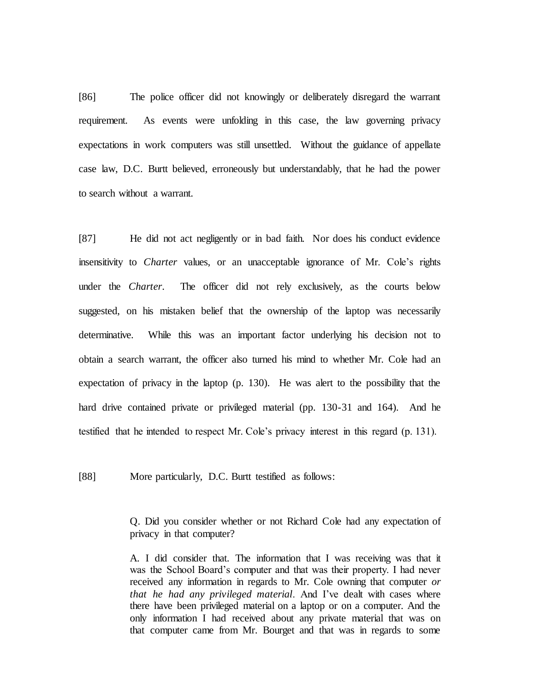[86] The police officer did not knowingly or deliberately disregard the warrant requirement. As events were unfolding in this case, the law governing privacy expectations in work computers was still unsettled. Without the guidance of appellate case law, D.C. Burtt believed, erroneously but understandably, that he had the power to search without a warrant.

[87] He did not act negligently or in bad faith. Nor does his conduct evidence insensitivity to *Charter* values, or an unacceptable ignorance of Mr. Cole's rights under the *Charter*. The officer did not rely exclusively, as the courts below suggested, on his mistaken belief that the ownership of the laptop was necessarily determinative. While this was an important factor underlying his decision not to obtain a search warrant, the officer also turned his mind to whether Mr. Cole had an expectation of privacy in the laptop (p. 130). He was alert to the possibility that the hard drive contained private or privileged material (pp. 130-31 and 164). And he testified that he intended to respect Mr. Cole's privacy interest in this regard (p. 131).

[88] More particularly, D.C. Burtt testified as follows:

Q. Did you consider whether or not Richard Cole had any expectation of privacy in that computer?

A. I did consider that. The information that I was receiving was that it was the School Board's computer and that was their property. I had never received any information in regards to Mr. Cole owning that computer *or that he had any privileged material*. And I've dealt with cases where there have been privileged material on a laptop or on a computer. And the only information I had received about any private material that was on that computer came from Mr. Bourget and that was in regards to some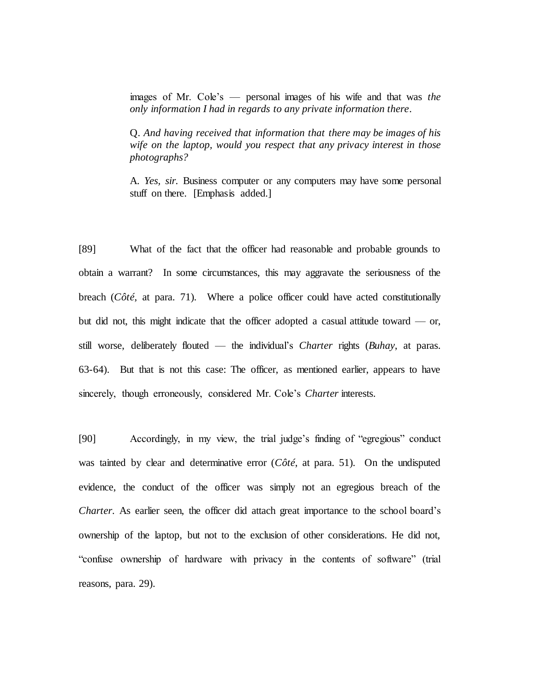images of Mr. Cole's — personal images of his wife and that was *the only information I had in regards to any private information there*.

Q. *And having received that information that there may be images of his wife on the laptop, would you respect that any privacy interest in those photographs?*

A. *Yes, sir.* Business computer or any computers may have some personal stuff on there. [Emphasis added.]

[89] What of the fact that the officer had reasonable and probable grounds to obtain a warrant? In some circumstances, this may aggravate the seriousness of the breach (*Côté*, at para. 71). Where a police officer could have acted constitutionally but did not, this might indicate that the officer adopted a casual attitude toward — or, still worse, deliberately flouted — the individual's *Charter* rights (*Buhay*, at paras. 63-64). But that is not this case: The officer, as mentioned earlier, appears to have sincerely, though erroneously, considered Mr. Cole's *Charter* interests.

[90] Accordingly, in my view, the trial judge's finding of "egregious" conduct was tainted by clear and determinative error (*Côté*, at para. 51). On the undisputed evidence, the conduct of the officer was simply not an egregious breach of the *Charter*. As earlier seen, the officer did attach great importance to the school board's ownership of the laptop, but not to the exclusion of other considerations. He did not, "confuse ownership of hardware with privacy in the contents of software" (trial reasons, para. 29).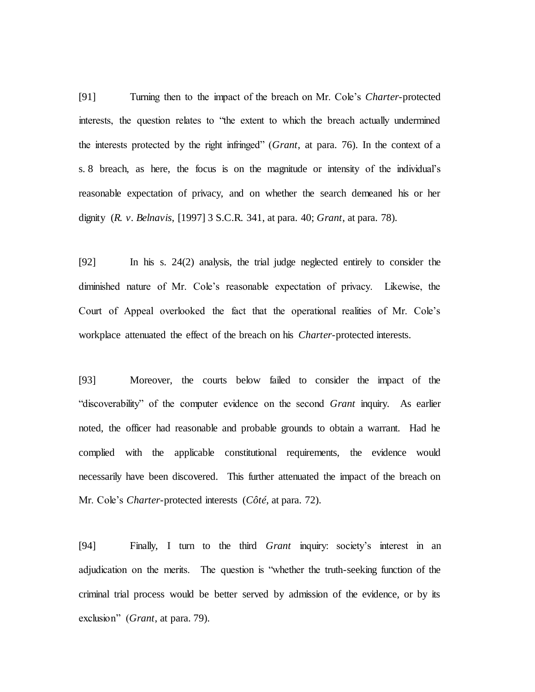[91] Turning then to the impact of the breach on Mr. Cole's *Charter*-protected interests, the question relates to "the extent to which the breach actually undermined the interests protected by the right infringed" (*Grant*, at para. 76). In the context of a s. 8 breach, as here, the focus is on the magnitude or intensity of the individual's reasonable expectation of privacy, and on whether the search demeaned his or her dignity (*R. v. Belnavis*, [1997] 3 S.C.R. 341, at para. 40; *Grant*, at para. 78).

[92] In his s. 24(2) analysis, the trial judge neglected entirely to consider the diminished nature of Mr. Cole's reasonable expectation of privacy. Likewise, the Court of Appeal overlooked the fact that the operational realities of Mr. Cole's workplace attenuated the effect of the breach on his *Charter*-protected interests.

[93] Moreover, the courts below failed to consider the impact of the "discoverability" of the computer evidence on the second *Grant* inquiry. As earlier noted, the officer had reasonable and probable grounds to obtain a warrant. Had he complied with the applicable constitutional requirements, the evidence would necessarily have been discovered. This further attenuated the impact of the breach on Mr. Cole's *Charter*-protected interests (*Côté*, at para. 72).

[94] Finally, I turn to the third *Grant* inquiry: society's interest in an adjudication on the merits. The question is "whether the truth-seeking function of the criminal trial process would be better served by admission of the evidence, or by its exclusion" (*Grant*, at para. 79).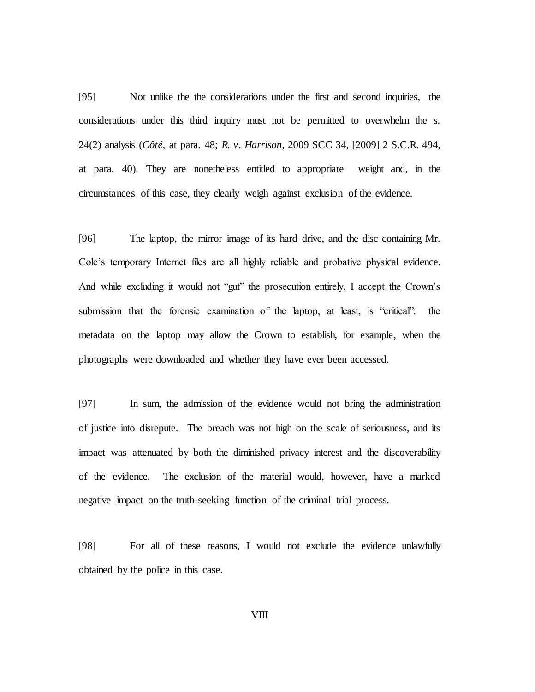[95] Not unlike the the considerations under the first and second inquiries, the considerations under this third inquiry must not be permitted to overwhelm the s. 24(2) analysis (*Côté*, at para. 48; *R. v. Harrison*, 2009 SCC 34, [2009] 2 S.C.R. 494, at para. 40). They are nonetheless entitled to appropriate weight and, in the circumstances of this case, they clearly weigh against exclusion of the evidence.

[96] The laptop, the mirror image of its hard drive, and the disc containing Mr. Cole's temporary Internet files are all highly reliable and probative physical evidence. And while excluding it would not "gut" the prosecution entirely, I accept the Crown's submission that the forensic examination of the laptop, at least, is "critical": the metadata on the laptop may allow the Crown to establish, for example, when the photographs were downloaded and whether they have ever been accessed.

[97] In sum, the admission of the evidence would not bring the administration of justice into disrepute. The breach was not high on the scale of seriousness, and its impact was attenuated by both the diminished privacy interest and the discoverability of the evidence. The exclusion of the material would, however, have a marked negative impact on the truth-seeking function of the criminal trial process.

[98] For all of these reasons, I would not exclude the evidence unlawfully obtained by the police in this case.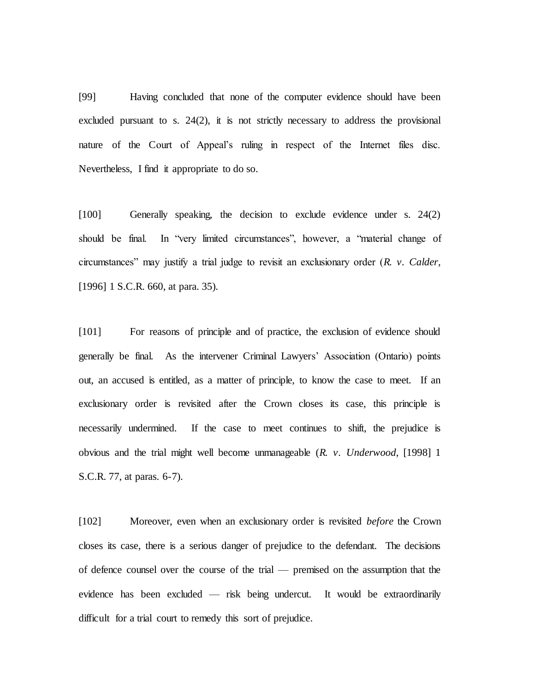[99] Having concluded that none of the computer evidence should have been excluded pursuant to s. 24(2), it is not strictly necessary to address the provisional nature of the Court of Appeal's ruling in respect of the Internet files disc. Nevertheless, I find it appropriate to do so.

[100] Generally speaking, the decision to exclude evidence under s. 24(2) should be final. In "very limited circumstances", however, a "material change of circumstances" may justify a trial judge to revisit an exclusionary order (*R. v. Calder*, [1996] 1 S.C.R. 660, at para. 35).

[101] For reasons of principle and of practice, the exclusion of evidence should generally be final. As the intervener Criminal Lawyers' Association (Ontario) points out, an accused is entitled, as a matter of principle, to know the case to meet. If an exclusionary order is revisited after the Crown closes its case, this principle is necessarily undermined. If the case to meet continues to shift, the prejudice is obvious and the trial might well become unmanageable (*R. v. Underwood*, [1998] 1 S.C.R. 77, at paras. 6-7).

[102] Moreover, even when an exclusionary order is revisited *before* the Crown closes its case, there is a serious danger of prejudice to the defendant. The decisions of defence counsel over the course of the trial — premised on the assumption that the evidence has been excluded — risk being undercut. It would be extraordinarily difficult for a trial court to remedy this sort of prejudice.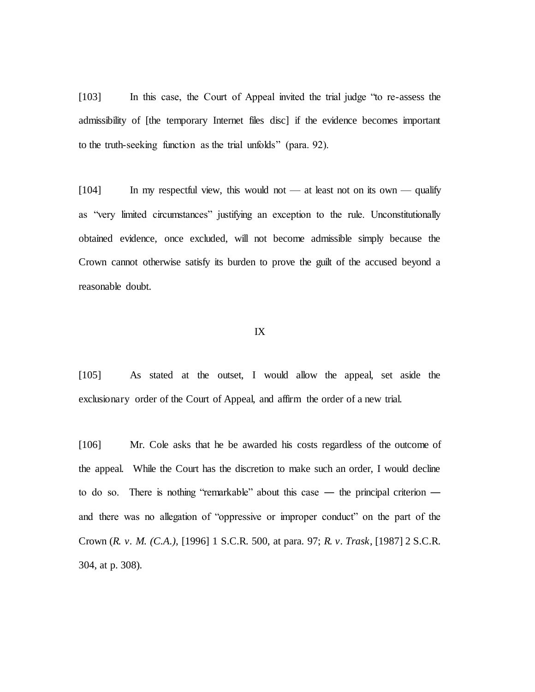[103] In this case, the Court of Appeal invited the trial judge "to re-assess the admissibility of [the temporary Internet files disc] if the evidence becomes important to the truth-seeking function as the trial unfolds" (para. 92).

 $[104]$  In my respectful view, this would not — at least not on its own — qualify as "very limited circumstances" justifying an exception to the rule. Unconstitutionally obtained evidence, once excluded, will not become admissible simply because the Crown cannot otherwise satisfy its burden to prove the guilt of the accused beyond a reasonable doubt.

## IX

[105] As stated at the outset, I would allow the appeal, set aside the exclusionary order of the Court of Appeal, and affirm the order of a new trial.

[106] Mr. Cole asks that he be awarded his costs regardless of the outcome of the appeal. While the Court has the discretion to make such an order, I would decline to do so. There is nothing "remarkable" about this case ― the principal criterion ― and there was no allegation of "oppressive or improper conduct" on the part of the Crown (*R. v. M. (C.A.)*, [1996] 1 S.C.R. 500, at para. 97; *R. v. Trask*, [1987] 2 S.C.R. 304, at p. 308).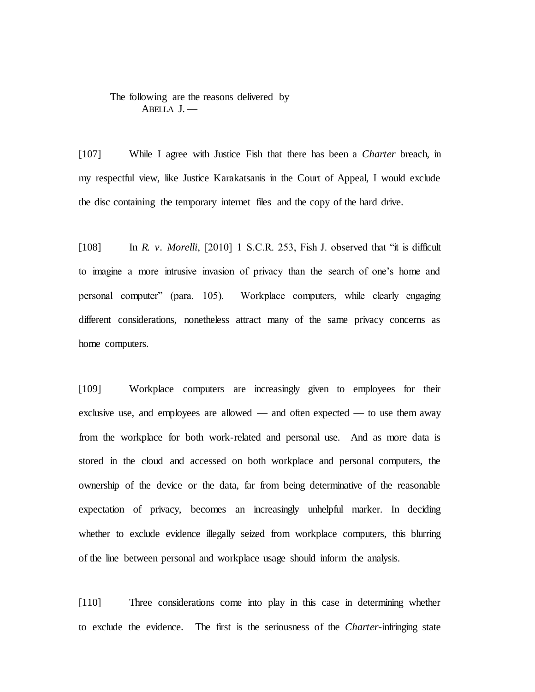The following are the reasons delivered by  $ABEIA$   $I$   $-$ 

[107] While I agree with Justice Fish that there has been a *Charter* breach, in my respectful view, like Justice Karakatsanis in the Court of Appeal, I would exclude the disc containing the temporary internet files and the copy of the hard drive.

[108] In *R. v. Morelli*, [2010] 1 S.C.R. 253, Fish J. observed that "it is difficult to imagine a more intrusive invasion of privacy than the search of one's home and personal computer" (para. 105). Workplace computers, while clearly engaging different considerations, nonetheless attract many of the same privacy concerns as home computers.

[109] Workplace computers are increasingly given to employees for their exclusive use, and employees are allowed — and often expected — to use them away from the workplace for both work-related and personal use. And as more data is stored in the cloud and accessed on both workplace and personal computers, the ownership of the device or the data, far from being determinative of the reasonable expectation of privacy, becomes an increasingly unhelpful marker. In deciding whether to exclude evidence illegally seized from workplace computers, this blurring of the line between personal and workplace usage should inform the analysis.

[110] Three considerations come into play in this case in determining whether to exclude the evidence. The first is the seriousness of the *Charter*-infringing state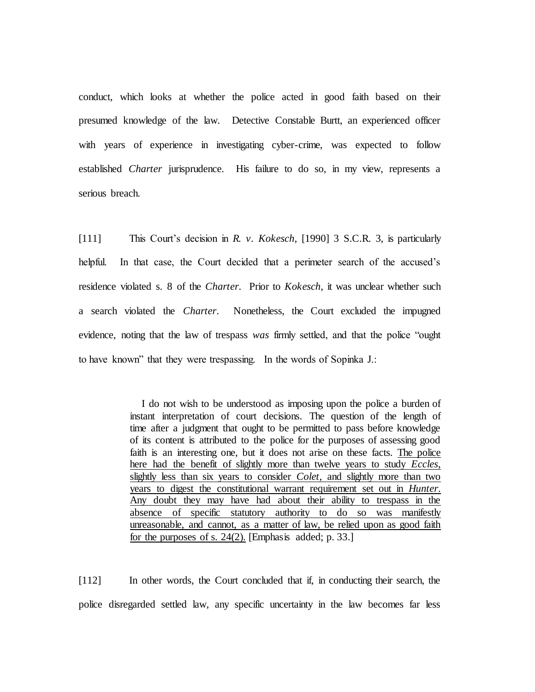conduct, which looks at whether the police acted in good faith based on their presumed knowledge of the law. Detective Constable Burtt, an experienced officer with years of experience in investigating cyber-crime, was expected to follow established *Charter* jurisprudence. His failure to do so, in my view, represents a serious breach.

[111] This Court's decision in *R. v. Kokesch*, [1990] 3 S.C.R. 3, is particularly helpful. In that case, the Court decided that a perimeter search of the accused's residence violated s. 8 of the *Charter*. Prior to *Kokesch*, it was unclear whether such a search violated the *Charter*. Nonetheless, the Court excluded the impugned evidence, noting that the law of trespass *was* firmly settled, and that the police "ought to have known" that they were trespassing. In the words of Sopinka J.:

> I do not wish to be understood as imposing upon the police a burden of instant interpretation of court decisions. The question of the length of time after a judgment that ought to be permitted to pass before knowledge of its content is attributed to the police for the purposes of assessing good faith is an interesting one, but it does not arise on these facts. The police here had the benefit of slightly more than twelve years to study *Eccles*, slightly less than six years to consider *Colet*, and slightly more than two years to digest the constitutional warrant requirement set out in *Hunter*. Any doubt they may have had about their ability to trespass in the absence of specific statutory authority to do so was manifestly unreasonable, and cannot, as a matter of law, be relied upon as good faith for the purposes of s. 24(2). [Emphasis added; p. 33.]

[112] In other words, the Court concluded that if, in conducting their search, the police disregarded settled law, any specific uncertainty in the law becomes far less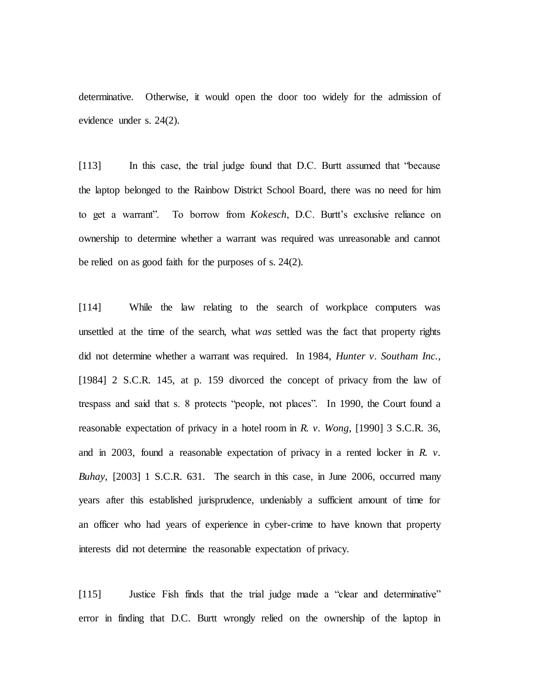determinative. Otherwise, it would open the door too widely for the admission of evidence under s. 24(2).

[113] In this case, the trial judge found that D.C. Burtt assumed that "because the laptop belonged to the Rainbow District School Board, there was no need for him to get a warrant". To borrow from *Kokesch*, D.C. Burtt's exclusive reliance on ownership to determine whether a warrant was required was unreasonable and cannot be relied on as good faith for the purposes of s. 24(2).

[114] While the law relating to the search of workplace computers was unsettled at the time of the search, what *was* settled was the fact that property rights did not determine whether a warrant was required. In 1984, *Hunter v. Southam Inc.*, [1984] 2 S.C.R. 145, at p. 159 divorced the concept of privacy from the law of trespass and said that s. 8 protects "people, not places". In 1990, the Court found a reasonable expectation of privacy in a hotel room in *R. v. Wong*, [1990] 3 S.C.R. 36, and in 2003, found a reasonable expectation of privacy in a rented locker in *R. v. Buhay*, [2003] 1 S.C.R. 631. The search in this case, in June 2006, occurred many years after this established jurisprudence, undeniably a sufficient amount of time for an officer who had years of experience in cyber-crime to have known that property interests did not determine the reasonable expectation of privacy.

[115] Justice Fish finds that the trial judge made a "clear and determinative" error in finding that D.C. Burtt wrongly relied on the ownership of the laptop in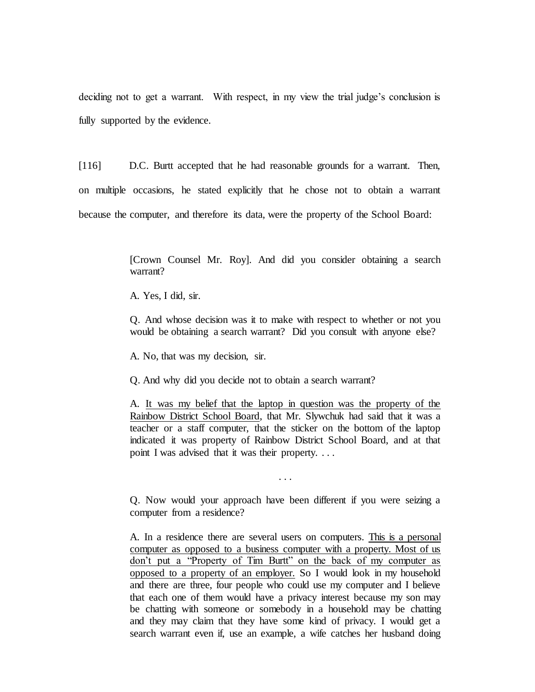deciding not to get a warrant. With respect, in my view the trial judge's conclusion is fully supported by the evidence.

[116] D.C. Burtt accepted that he had reasonable grounds for a warrant. Then, on multiple occasions, he stated explicitly that he chose not to obtain a warrant because the computer, and therefore its data, were the property of the School Board:

> [Crown Counsel Mr. Roy]. And did you consider obtaining a search warrant?

A. Yes, I did, sir.

Q. And whose decision was it to make with respect to whether or not you would be obtaining a search warrant? Did you consult with anyone else?

A. No, that was my decision, sir.

Q. And why did you decide not to obtain a search warrant?

A. It was my belief that the laptop in question was the property of the Rainbow District School Board, that Mr. Slywchuk had said that it was a teacher or a staff computer, that the sticker on the bottom of the laptop indicated it was property of Rainbow District School Board, and at that point I was advised that it was their property. . . .

Q. Now would your approach have been different if you were seizing a computer from a residence?

. . .

A. In a residence there are several users on computers. This is a personal computer as opposed to a business computer with a property. Most of us don't put a "Property of Tim Burtt" on the back of my computer as opposed to a property of an employer. So I would look in my household and there are three, four people who could use my computer and I believe that each one of them would have a privacy interest because my son may be chatting with someone or somebody in a household may be chatting and they may claim that they have some kind of privacy. I would get a search warrant even if, use an example, a wife catches her husband doing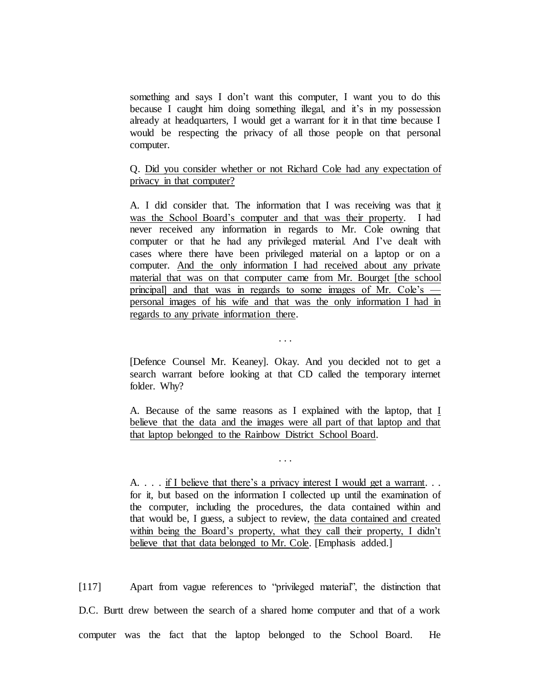something and says I don't want this computer, I want you to do this because I caught him doing something illegal, and it's in my possession already at headquarters, I would get a warrant for it in that time because I would be respecting the privacy of all those people on that personal computer.

Q. Did you consider whether or not Richard Cole had any expectation of privacy in that computer?

A. I did consider that. The information that I was receiving was that it was the School Board's computer and that was their property. I had never received any information in regards to Mr. Cole owning that computer or that he had any privileged material. And I've dealt with cases where there have been privileged material on a laptop or on a computer. And the only information I had received about any private material that was on that computer came from Mr. Bourget [the school principal] and that was in regards to some images of Mr. Cole's personal images of his wife and that was the only information I had in regards to any private information there.

[Defence Counsel Mr. Keaney]. Okay. And you decided not to get a search warrant before looking at that CD called the temporary internet folder. Why?

. . .

A. Because of the same reasons as I explained with the laptop, that  $I$ believe that the data and the images were all part of that laptop and that that laptop belonged to the Rainbow District School Board.

. . .

A. . . . if I believe that there's a privacy interest I would get a warrant. . . for it, but based on the information I collected up until the examination of the computer, including the procedures, the data contained within and that would be, I guess, a subject to review, the data contained and created within being the Board's property, what they call their property, I didn't believe that that data belonged to Mr. Cole. [Emphasis added.]

[117] Apart from vague references to "privileged material", the distinction that D.C. Burtt drew between the search of a shared home computer and that of a work computer was the fact that the laptop belonged to the School Board. He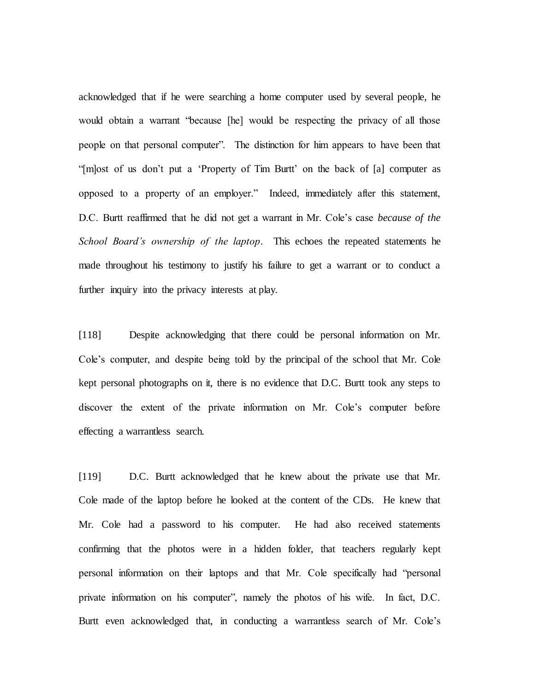acknowledged that if he were searching a home computer used by several people, he would obtain a warrant "because [he] would be respecting the privacy of all those people on that personal computer". The distinction for him appears to have been that "[m]ost of us don't put a 'Property of Tim Burtt' on the back of [a] computer as opposed to a property of an employer." Indeed, immediately after this statement, D.C. Burtt reaffirmed that he did not get a warrant in Mr. Cole's case *because of the School Board's ownership of the laptop*. This echoes the repeated statements he made throughout his testimony to justify his failure to get a warrant or to conduct a further inquiry into the privacy interests at play.

[118] Despite acknowledging that there could be personal information on Mr. Cole's computer, and despite being told by the principal of the school that Mr. Cole kept personal photographs on it, there is no evidence that D.C. Burtt took any steps to discover the extent of the private information on Mr. Cole's computer before effecting a warrantless search.

[119] D.C. Burtt acknowledged that he knew about the private use that Mr. Cole made of the laptop before he looked at the content of the CDs. He knew that Mr. Cole had a password to his computer. He had also received statements confirming that the photos were in a hidden folder, that teachers regularly kept personal information on their laptops and that Mr. Cole specifically had "personal private information on his computer", namely the photos of his wife. In fact, D.C. Burtt even acknowledged that, in conducting a warrantless search of Mr. Cole's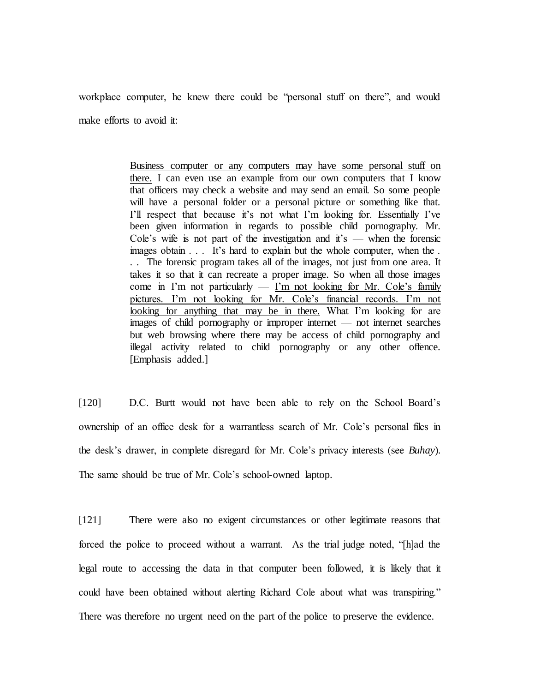workplace computer, he knew there could be "personal stuff on there", and would make efforts to avoid it:

> Business computer or any computers may have some personal stuff on there. I can even use an example from our own computers that I know that officers may check a website and may send an email. So some people will have a personal folder or a personal picture or something like that. I'll respect that because it's not what I'm looking for. Essentially I've been given information in regards to possible child pornography. Mr. Cole's wife is not part of the investigation and it's — when the forensic images obtain . . . It's hard to explain but the whole computer, when the . . . The forensic program takes all of the images, not just from one area. It takes it so that it can recreate a proper image. So when all those images come in I'm not particularly — I'm not looking for Mr. Cole's family pictures. I'm not looking for Mr. Cole's financial records. I'm not looking for anything that may be in there. What I'm looking for are images of child pornography or improper internet — not internet searches but web browsing where there may be access of child pornography and illegal activity related to child pornography or any other offence. [Emphasis added.]

[120] D.C. Burtt would not have been able to rely on the School Board's ownership of an office desk for a warrantless search of Mr. Cole's personal files in the desk's drawer, in complete disregard for Mr. Cole's privacy interests (see *Buhay*). The same should be true of Mr. Cole's school-owned laptop.

[121] There were also no exigent circumstances or other legitimate reasons that forced the police to proceed without a warrant. As the trial judge noted, "[h]ad the legal route to accessing the data in that computer been followed, it is likely that it could have been obtained without alerting Richard Cole about what was transpiring." There was therefore no urgent need on the part of the police to preserve the evidence.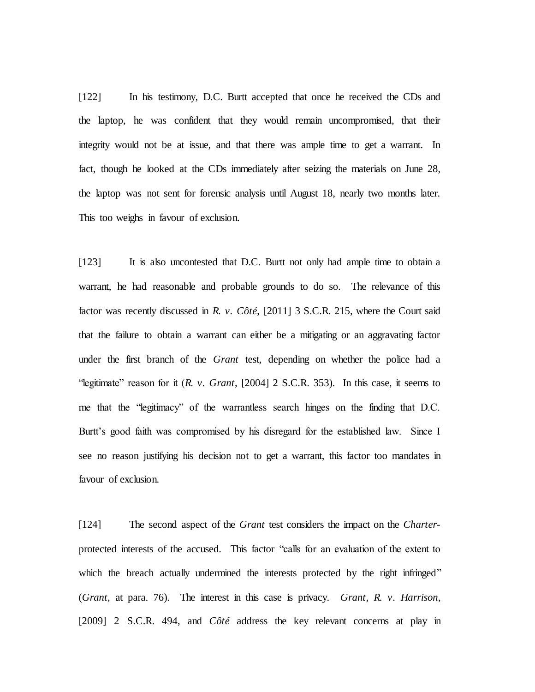[122] In his testimony, D.C. Burtt accepted that once he received the CDs and the laptop, he was confident that they would remain uncompromised, that their integrity would not be at issue, and that there was ample time to get a warrant. In fact, though he looked at the CDs immediately after seizing the materials on June 28, the laptop was not sent for forensic analysis until August 18, nearly two months later. This too weighs in favour of exclusion.

[123] It is also uncontested that D.C. Burtt not only had ample time to obtain a warrant, he had reasonable and probable grounds to do so. The relevance of this factor was recently discussed in *R. v. Côté*, [2011] 3 S.C.R. 215, where the Court said that the failure to obtain a warrant can either be a mitigating or an aggravating factor under the first branch of the *Grant* test, depending on whether the police had a "legitimate" reason for it (*R. v. Grant*, [2004] 2 S.C.R. 353). In this case, it seems to me that the "legitimacy" of the warrantless search hinges on the finding that D.C. Burtt's good faith was compromised by his disregard for the established law. Since I see no reason justifying his decision not to get a warrant, this factor too mandates in favour of exclusion.

[124] The second aspect of the *Grant* test considers the impact on the *Charter*protected interests of the accused. This factor "calls for an evaluation of the extent to which the breach actually undermined the interests protected by the right infringed" (*Grant*, at para. 76). The interest in this case is privacy. *Grant*, *R. v. Harrison*, [2009] 2 S.C.R. 494, and *Côté* address the key relevant concerns at play in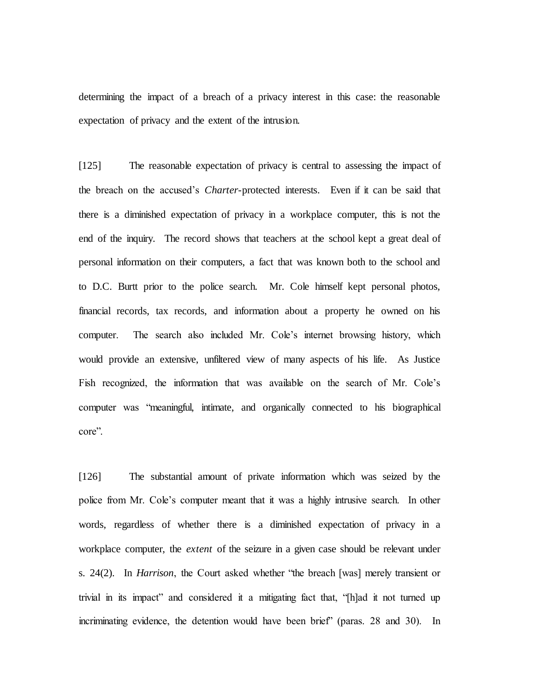determining the impact of a breach of a privacy interest in this case: the reasonable expectation of privacy and the extent of the intrusion.

[125] The reasonable expectation of privacy is central to assessing the impact of the breach on the accused's *Charter*-protected interests. Even if it can be said that there is a diminished expectation of privacy in a workplace computer, this is not the end of the inquiry. The record shows that teachers at the school kept a great deal of personal information on their computers, a fact that was known both to the school and to D.C. Burtt prior to the police search. Mr. Cole himself kept personal photos, financial records, tax records, and information about a property he owned on his computer. The search also included Mr. Cole's internet browsing history, which would provide an extensive, unfiltered view of many aspects of his life. As Justice Fish recognized, the information that was available on the search of Mr. Cole's computer was "meaningful, intimate, and organically connected to his biographical core".

[126] The substantial amount of private information which was seized by the police from Mr. Cole's computer meant that it was a highly intrusive search. In other words, regardless of whether there is a diminished expectation of privacy in a workplace computer, the *extent* of the seizure in a given case should be relevant under s. 24(2). In *Harrison*, the Court asked whether "the breach [was] merely transient or trivial in its impact" and considered it a mitigating fact that, "[h]ad it not turned up incriminating evidence, the detention would have been brief" (paras. 28 and 30). In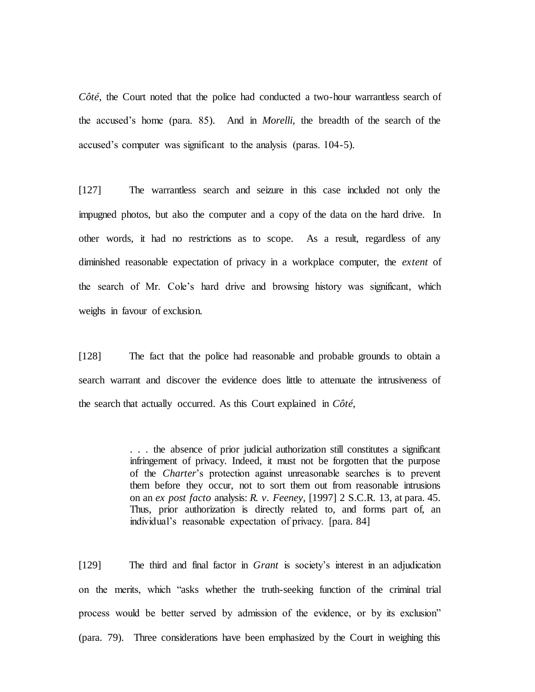*Côté*, the Court noted that the police had conducted a two-hour warrantless search of the accused's home (para. 85). And in *Morelli*, the breadth of the search of the accused's computer was significant to the analysis (paras. 104-5).

[127] The warrantless search and seizure in this case included not only the impugned photos, but also the computer and a copy of the data on the hard drive. In other words, it had no restrictions as to scope. As a result, regardless of any diminished reasonable expectation of privacy in a workplace computer, the *extent* of the search of Mr. Cole's hard drive and browsing history was significant, which weighs in favour of exclusion.

[128] The fact that the police had reasonable and probable grounds to obtain a search warrant and discover the evidence does little to attenuate the intrusiveness of the search that actually occurred. As this Court explained in *Côté*,

> . . . the absence of prior judicial authorization still constitutes a significant infringement of privacy. Indeed, it must not be forgotten that the purpose of the *Charter*'s protection against unreasonable searches is to prevent them before they occur, not to sort them out from reasonable intrusions on an *ex post facto* analysis: *R. v. Feeney*, [1997] 2 S.C.R. 13, at para. 45. Thus, prior authorization is directly related to, and forms part of, an individual's reasonable expectation of privacy. [para. 84]

[129] The third and final factor in *Grant* is society's interest in an adjudication on the merits, which "asks whether the truth-seeking function of the criminal trial process would be better served by admission of the evidence, or by its exclusion" (para. 79). Three considerations have been emphasized by the Court in weighing this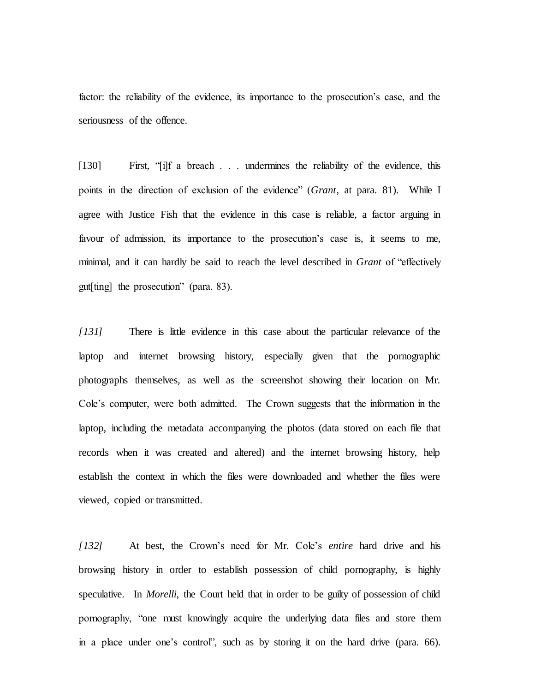factor: the reliability of the evidence, its importance to the prosecution's case, and the seriousness of the offence.

[130] First, "[i]f a breach . . . undermines the reliability of the evidence, this points in the direction of exclusion of the evidence" (*Grant*, at para. 81). While I agree with Justice Fish that the evidence in this case is reliable, a factor arguing in favour of admission, its importance to the prosecution's case is, it seems to me, minimal, and it can hardly be said to reach the level described in *Grant* of "effectively gut[ting] the prosecution" (para. 83).

*[131]* There is little evidence in this case about the particular relevance of the laptop and internet browsing history, especially given that the pornographic photographs themselves, as well as the screenshot showing their location on Mr. Cole's computer, were both admitted. The Crown suggests that the information in the laptop, including the metadata accompanying the photos (data stored on each file that records when it was created and altered) and the internet browsing history, help establish the context in which the files were downloaded and whether the files were viewed, copied or transmitted.

*[132]* At best, the Crown's need for Mr. Cole's *entire* hard drive and his browsing history in order to establish possession of child pornography, is highly speculative. In *Morelli*, the Court held that in order to be guilty of possession of child pornography, "one must knowingly acquire the underlying data files and store them in a place under one's control", such as by storing it on the hard drive (para. 66).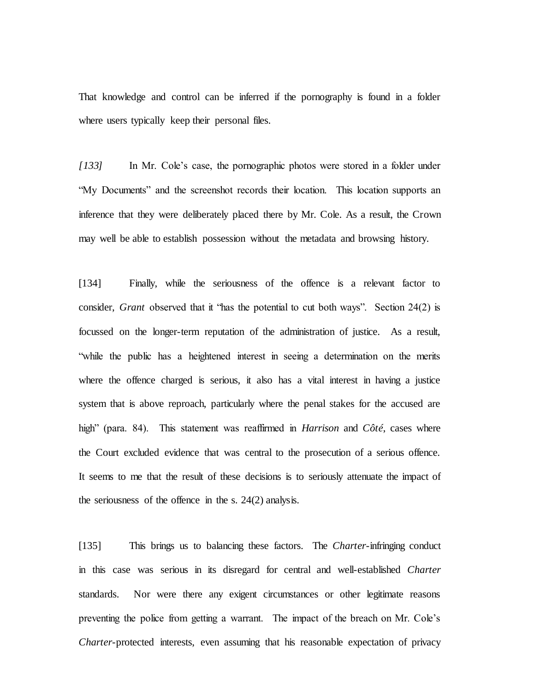That knowledge and control can be inferred if the pornography is found in a folder where users typically keep their personal files.

*[133]* In Mr. Cole's case, the pornographic photos were stored in a folder under "My Documents" and the screenshot records their location. This location supports an inference that they were deliberately placed there by Mr. Cole. As a result, the Crown may well be able to establish possession without the metadata and browsing history.

[134] Finally, while the seriousness of the offence is a relevant factor to consider, *Grant* observed that it "has the potential to cut both ways". Section 24(2) is focussed on the longer-term reputation of the administration of justice. As a result, "while the public has a heightened interest in seeing a determination on the merits where the offence charged is serious, it also has a vital interest in having a justice system that is above reproach, particularly where the penal stakes for the accused are high" (para. 84). This statement was reaffirmed in *Harrison* and *Côté*, cases where the Court excluded evidence that was central to the prosecution of a serious offence. It seems to me that the result of these decisions is to seriously attenuate the impact of the seriousness of the offence in the s. 24(2) analysis.

[135] This brings us to balancing these factors. The *Charter*-infringing conduct in this case was serious in its disregard for central and well-established *Charter* standards. Nor were there any exigent circumstances or other legitimate reasons preventing the police from getting a warrant. The impact of the breach on Mr. Cole's *Charter*-protected interests, even assuming that his reasonable expectation of privacy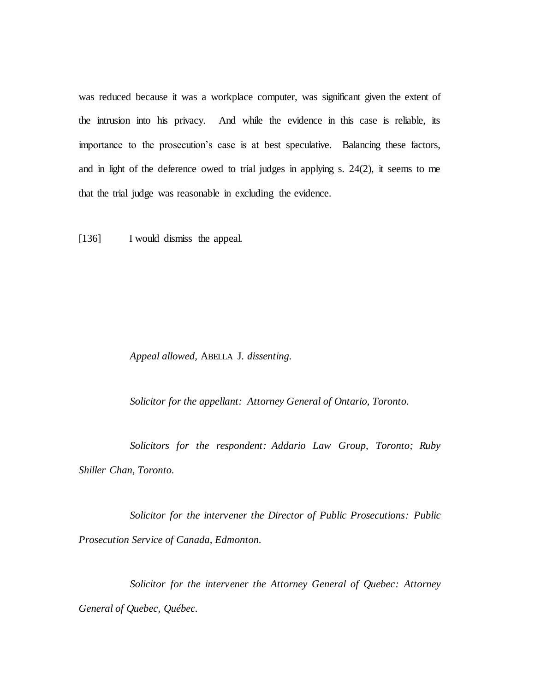was reduced because it was a workplace computer, was significant given the extent of the intrusion into his privacy. And while the evidence in this case is reliable, its importance to the prosecution's case is at best speculative. Balancing these factors, and in light of the deference owed to trial judges in applying s. 24(2), it seems to me that the trial judge was reasonable in excluding the evidence.

[136] I would dismiss the appeal.

*Appeal allowed,* ABELLA J. *dissenting.*

*Solicitor for the appellant: Attorney General of Ontario, Toronto.*

*Solicitors for the respondent: Addario Law Group, Toronto; Ruby Shiller Chan, Toronto.*

*Solicitor for the intervener the Director of Public Prosecutions: Public Prosecution Service of Canada, Edmonton.*

*Solicitor for the intervener the Attorney General of Quebec: Attorney General of Quebec, Québec.*